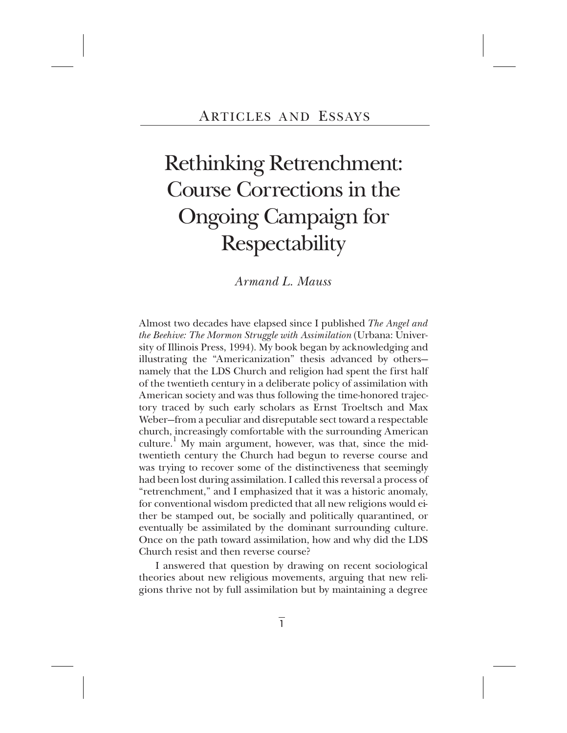# Rethinking Retrenchment: Course Corrections in the Ongoing Campaign for Respectability

*Armand L. Mauss*

Almost two decades have elapsed since I published *The Angel and the Beehive: The Mormon Struggle with Assimilation* (Urbana: University of Illinois Press, 1994). My book began by acknowledging and illustrating the "Americanization" thesis advanced by others namely that the LDS Church and religion had spent the first half of the twentieth century in a deliberate policy of assimilation with American society and was thus following the time-honored trajectory traced by such early scholars as Ernst Troeltsch and Max Weber—from a peculiar and disreputable sect toward a respectable church, increasingly comfortable with the surrounding American culture.<sup>1</sup> My main argument, however, was that, since the midtwentieth century the Church had begun to reverse course and was trying to recover some of the distinctiveness that seemingly had been lost during assimilation. I called this reversal a process of "retrenchment," and I emphasized that it was a historic anomaly, for conventional wisdom predicted that all new religions would either be stamped out, be socially and politically quarantined, or eventually be assimilated by the dominant surrounding culture. Once on the path toward assimilation, how and why did the LDS Church resist and then reverse course?

I answered that question by drawing on recent sociological theories about new religious movements, arguing that new religions thrive not by full assimilation but by maintaining a degree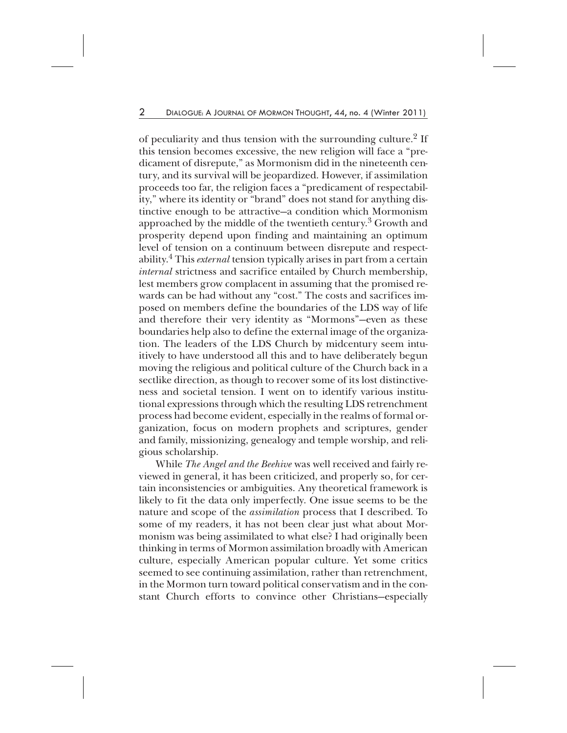of peculiarity and thus tension with the surrounding culture.<sup>2</sup> If this tension becomes excessive, the new religion will face a "predicament of disrepute," as Mormonism did in the nineteenth century, and its survival will be jeopardized. However, if assimilation proceeds too far, the religion faces a "predicament of respectability," where its identity or "brand" does not stand for anything distinctive enough to be attractive—a condition which Mormonism approached by the middle of the twentieth century.<sup>3</sup> Growth and prosperity depend upon finding and maintaining an optimum level of tension on a continuum between disrepute and respectability.4 This *external* tension typically arises in part from a certain *internal* strictness and sacrifice entailed by Church membership, lest members grow complacent in assuming that the promised rewards can be had without any "cost." The costs and sacrifices imposed on members define the boundaries of the LDS way of life and therefore their very identity as "Mormons"—even as these boundaries help also to define the external image of the organization. The leaders of the LDS Church by midcentury seem intuitively to have understood all this and to have deliberately begun moving the religious and political culture of the Church back in a sectlike direction, as though to recover some of its lost distinctiveness and societal tension. I went on to identify various institutional expressions through which the resulting LDS retrenchment process had become evident, especially in the realms of formal organization, focus on modern prophets and scriptures, gender and family, missionizing, genealogy and temple worship, and religious scholarship.

While *The Angel and the Beehive* was well received and fairly reviewed in general, it has been criticized, and properly so, for certain inconsistencies or ambiguities. Any theoretical framework is likely to fit the data only imperfectly. One issue seems to be the nature and scope of the *assimilation* process that I described. To some of my readers, it has not been clear just what about Mormonism was being assimilated to what else? I had originally been thinking in terms of Mormon assimilation broadly with American culture, especially American popular culture. Yet some critics seemed to see continuing assimilation, rather than retrenchment, in the Mormon turn toward political conservatism and in the constant Church efforts to convince other Christians—especially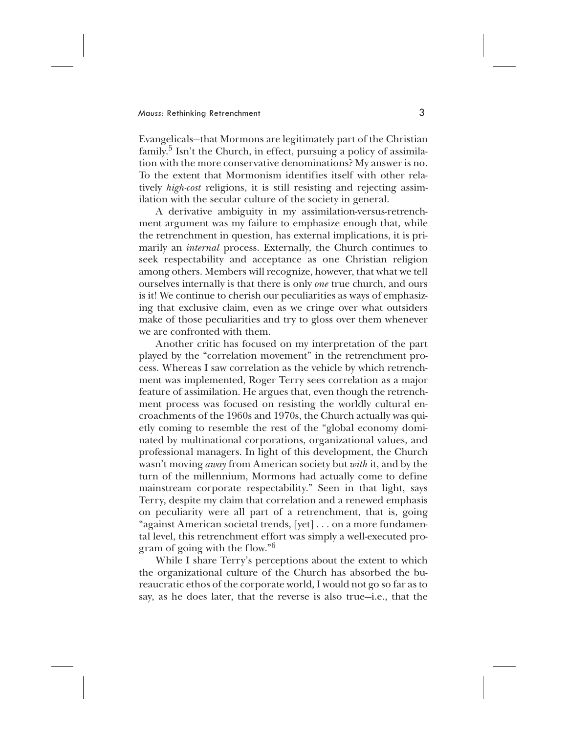Evangelicals—that Mormons are legitimately part of the Christian  $family.<sup>5</sup>$  Isn't the Church, in effect, pursuing a policy of assimilation with the more conservative denominations? My answer is no. To the extent that Mormonism identifies itself with other relatively *high-cost* religions, it is still resisting and rejecting assimilation with the secular culture of the society in general.

A derivative ambiguity in my assimilation-versus-retrenchment argument was my failure to emphasize enough that, while the retrenchment in question, has external implications, it is primarily an *internal* process. Externally, the Church continues to seek respectability and acceptance as one Christian religion among others. Members will recognize, however, that what we tell ourselves internally is that there is only *one* true church, and ours is it! We continue to cherish our peculiarities as ways of emphasizing that exclusive claim, even as we cringe over what outsiders make of those peculiarities and try to gloss over them whenever we are confronted with them.

Another critic has focused on my interpretation of the part played by the "correlation movement" in the retrenchment process. Whereas I saw correlation as the vehicle by which retrenchment was implemented, Roger Terry sees correlation as a major feature of assimilation. He argues that, even though the retrenchment process was focused on resisting the worldly cultural encroachments of the 1960s and 1970s, the Church actually was quietly coming to resemble the rest of the "global economy dominated by multinational corporations, organizational values, and professional managers. In light of this development, the Church wasn't moving *away* from American society but *with* it, and by the turn of the millennium, Mormons had actually come to define mainstream corporate respectability." Seen in that light, says Terry, despite my claim that correlation and a renewed emphasis on peculiarity were all part of a retrenchment, that is, going "against American societal trends, [yet] . . . on a more fundamental level, this retrenchment effort was simply a well-executed program of going with the flow."6

While I share Terry's perceptions about the extent to which the organizational culture of the Church has absorbed the bureaucratic ethos of the corporate world, I would not go so far as to say, as he does later, that the reverse is also true—i.e., that the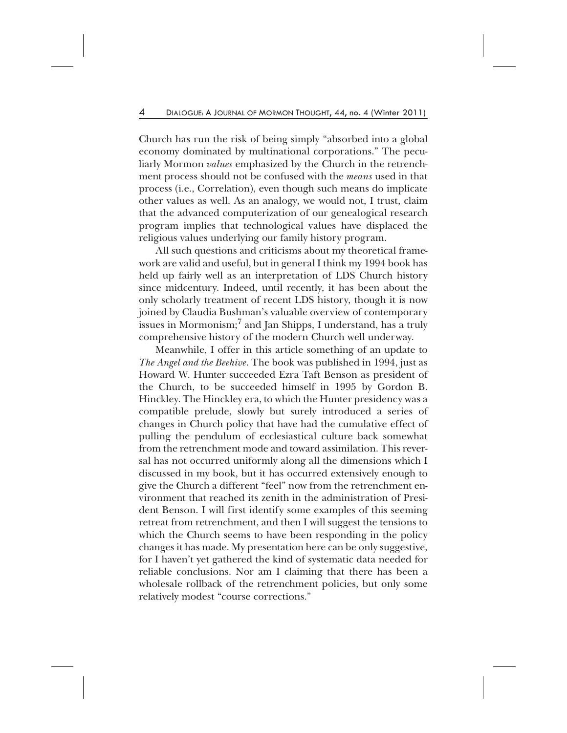Church has run the risk of being simply "absorbed into a global economy dominated by multinational corporations." The peculiarly Mormon *values* emphasized by the Church in the retrenchment process should not be confused with the *means* used in that process (i.e., Correlation), even though such means do implicate other values as well. As an analogy, we would not, I trust, claim that the advanced computerization of our genealogical research program implies that technological values have displaced the religious values underlying our family history program.

All such questions and criticisms about my theoretical framework are valid and useful, but in general I think my 1994 book has held up fairly well as an interpretation of LDS Church history since midcentury. Indeed, until recently, it has been about the only scholarly treatment of recent LDS history, though it is now joined by Claudia Bushman's valuable overview of contemporary issues in Mormonism; $^7$  and Jan Shipps, I understand, has a truly comprehensive history of the modern Church well underway.

Meanwhile, I offer in this article something of an update to *The Angel and the Beehive*. The book was published in 1994, just as Howard W. Hunter succeeded Ezra Taft Benson as president of the Church, to be succeeded himself in 1995 by Gordon B. Hinckley. The Hinckley era, to which the Hunter presidency was a compatible prelude, slowly but surely introduced a series of changes in Church policy that have had the cumulative effect of pulling the pendulum of ecclesiastical culture back somewhat from the retrenchment mode and toward assimilation. This reversal has not occurred uniformly along all the dimensions which I discussed in my book, but it has occurred extensively enough to give the Church a different "feel" now from the retrenchment environment that reached its zenith in the administration of President Benson. I will first identify some examples of this seeming retreat from retrenchment, and then I will suggest the tensions to which the Church seems to have been responding in the policy changes it has made. My presentation here can be only suggestive, for I haven't yet gathered the kind of systematic data needed for reliable conclusions. Nor am I claiming that there has been a wholesale rollback of the retrenchment policies, but only some relatively modest "course corrections."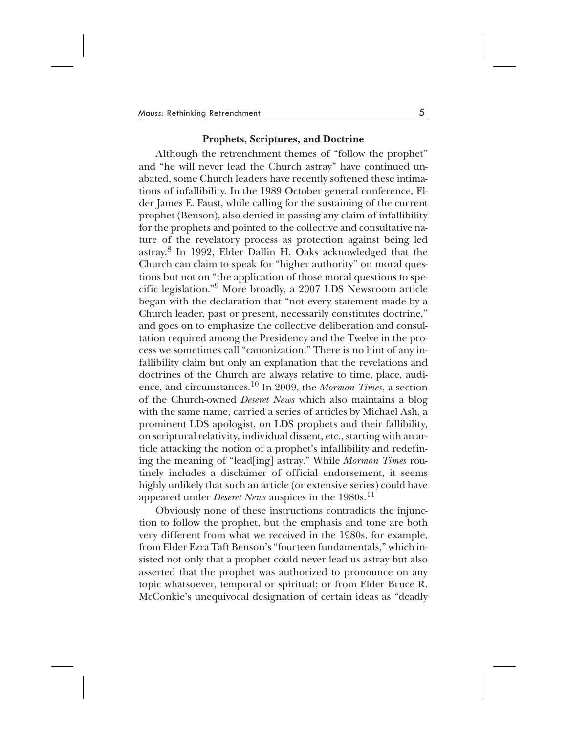#### **Prophets, Scriptures, and Doctrine**

Although the retrenchment themes of "follow the prophet" and "he will never lead the Church astray" have continued unabated, some Church leaders have recently softened these intimations of infallibility. In the 1989 October general conference, Elder James E. Faust, while calling for the sustaining of the current prophet (Benson), also denied in passing any claim of infallibility for the prophets and pointed to the collective and consultative nature of the revelatory process as protection against being led astray.8 In 1992, Elder Dallin H. Oaks acknowledged that the Church can claim to speak for "higher authority" on moral questions but not on "the application of those moral questions to specific legislation."9 More broadly, a 2007 LDS Newsroom article began with the declaration that "not every statement made by a Church leader, past or present, necessarily constitutes doctrine," and goes on to emphasize the collective deliberation and consultation required among the Presidency and the Twelve in the process we sometimes call "canonization." There is no hint of any infallibility claim but only an explanation that the revelations and doctrines of the Church are always relative to time, place, audience, and circumstances.<sup>10</sup> In 2009, the *Mormon Times*, a section of the Church-owned *Deseret News* which also maintains a blog with the same name, carried a series of articles by Michael Ash, a prominent LDS apologist, on LDS prophets and their fallibility, on scriptural relativity, individual dissent, etc., starting with an article attacking the notion of a prophet's infallibility and redefining the meaning of "lead[ing] astray." While *Mormon Times* routinely includes a disclaimer of official endorsement, it seems highly unlikely that such an article (or extensive series) could have appeared under *Deseret News* auspices in the 1980s.<sup>11</sup>

Obviously none of these instructions contradicts the injunction to follow the prophet, but the emphasis and tone are both very different from what we received in the 1980s, for example, from Elder Ezra Taft Benson's "fourteen fundamentals," which insisted not only that a prophet could never lead us astray but also asserted that the prophet was authorized to pronounce on any topic whatsoever, temporal or spiritual; or from Elder Bruce R. McConkie's unequivocal designation of certain ideas as "deadly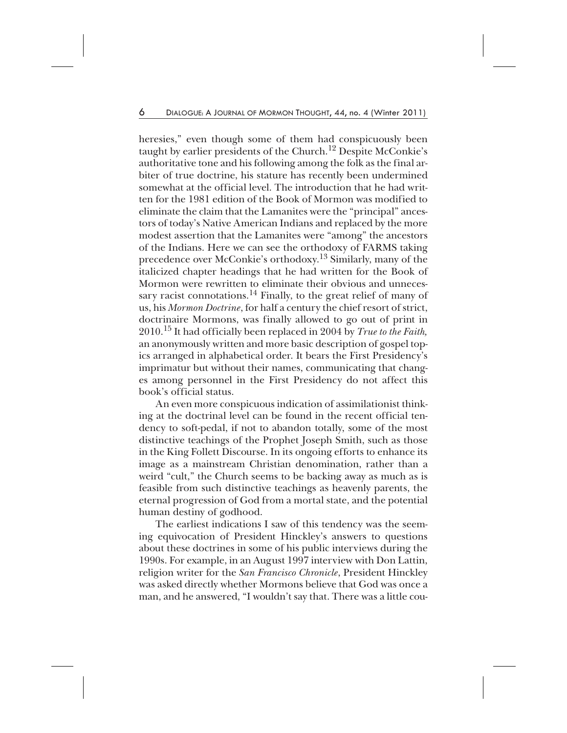heresies," even though some of them had conspicuously been taught by earlier presidents of the Church.<sup>12</sup> Despite McConkie's authoritative tone and his following among the folk as the final arbiter of true doctrine, his stature has recently been undermined somewhat at the official level. The introduction that he had written for the 1981 edition of the Book of Mormon was modified to eliminate the claim that the Lamanites were the "principal" ancestors of today's Native American Indians and replaced by the more modest assertion that the Lamanites were "among" the ancestors of the Indians. Here we can see the orthodoxy of FARMS taking precedence over McConkie's orthodoxy.13 Similarly, many of the italicized chapter headings that he had written for the Book of Mormon were rewritten to eliminate their obvious and unnecessary racist connotations.<sup>14</sup> Finally, to the great relief of many of us, his *Mormon Doctrine*, for half a century the chief resort of strict, doctrinaire Mormons, was finally allowed to go out of print in 2010.<sup>15</sup> It had officially been replaced in 2004 by *True to the Faith,* an anonymously written and more basic description of gospel topics arranged in alphabetical order. It bears the First Presidency's imprimatur but without their names, communicating that changes among personnel in the First Presidency do not affect this book's official status.

An even more conspicuous indication of assimilationist thinking at the doctrinal level can be found in the recent official tendency to soft-pedal, if not to abandon totally, some of the most distinctive teachings of the Prophet Joseph Smith, such as those in the King Follett Discourse. In its ongoing efforts to enhance its image as a mainstream Christian denomination, rather than a weird "cult," the Church seems to be backing away as much as is feasible from such distinctive teachings as heavenly parents, the eternal progression of God from a mortal state, and the potential human destiny of godhood.

The earliest indications I saw of this tendency was the seeming equivocation of President Hinckley's answers to questions about these doctrines in some of his public interviews during the 1990s. For example, in an August 1997 interview with Don Lattin, religion writer for the *San Francisco Chronicle*, President Hinckley was asked directly whether Mormons believe that God was once a man, and he answered, "I wouldn't say that. There was a little cou-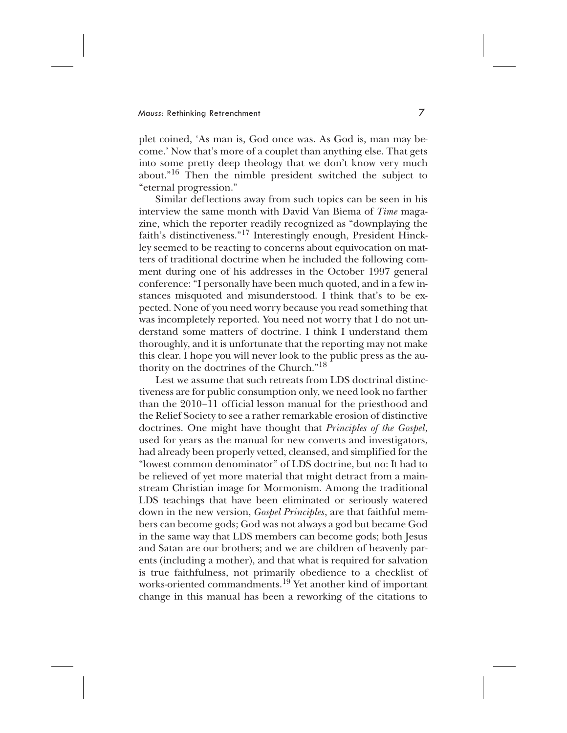plet coined, 'As man is, God once was. As God is, man may become.' Now that's more of a couplet than anything else. That gets into some pretty deep theology that we don't know very much about."16 Then the nimble president switched the subject to "eternal progression."

Similar deflections away from such topics can be seen in his interview the same month with David Van Biema of *Time* magazine, which the reporter readily recognized as "downplaying the faith's distinctiveness."<sup>17</sup> Interestingly enough, President Hinckley seemed to be reacting to concerns about equivocation on matters of traditional doctrine when he included the following comment during one of his addresses in the October 1997 general conference: "I personally have been much quoted, and in a few instances misquoted and misunderstood. I think that's to be expected. None of you need worry because you read something that was incompletely reported. You need not worry that I do not understand some matters of doctrine. I think I understand them thoroughly, and it is unfortunate that the reporting may not make this clear. I hope you will never look to the public press as the authority on the doctrines of the Church."18

Lest we assume that such retreats from LDS doctrinal distinctiveness are for public consumption only, we need look no farther than the 2010–11 official lesson manual for the priesthood and the Relief Society to see a rather remarkable erosion of distinctive doctrines. One might have thought that *Principles of the Gospel*, used for years as the manual for new converts and investigators, had already been properly vetted, cleansed, and simplified for the "lowest common denominator" of LDS doctrine, but no: It had to be relieved of yet more material that might detract from a mainstream Christian image for Mormonism. Among the traditional LDS teachings that have been eliminated or seriously watered down in the new version, *Gospel Principles*, are that faithful members can become gods; God was not always a god but became God in the same way that LDS members can become gods; both Jesus and Satan are our brothers; and we are children of heavenly parents (including a mother), and that what is required for salvation is true faithfulness, not primarily obedience to a checklist of works-oriented commandments.<sup>19</sup> Yet another kind of important change in this manual has been a reworking of the citations to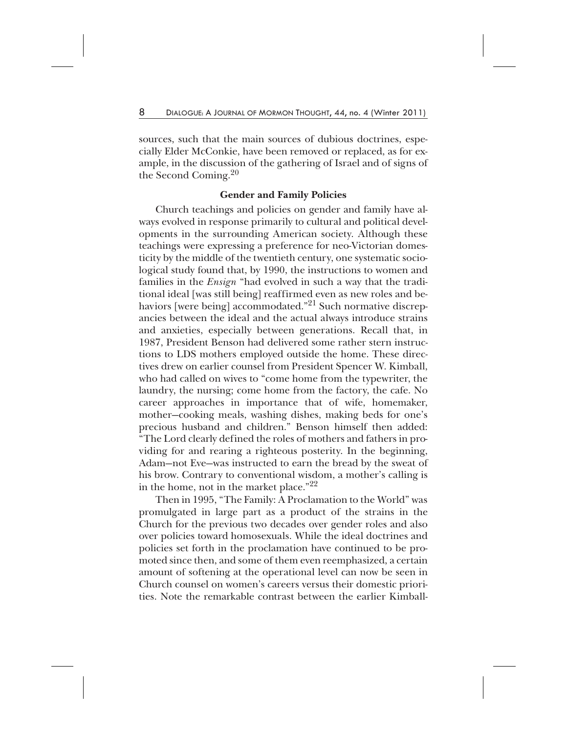sources, such that the main sources of dubious doctrines, especially Elder McConkie, have been removed or replaced, as for example, in the discussion of the gathering of Israel and of signs of the Second Coming.<sup>20</sup>

### **Gender and Family Policies**

Church teachings and policies on gender and family have always evolved in response primarily to cultural and political developments in the surrounding American society. Although these teachings were expressing a preference for neo-Victorian domesticity by the middle of the twentieth century, one systematic sociological study found that, by 1990, the instructions to women and families in the *Ensign* "had evolved in such a way that the traditional ideal [was still being] reaffirmed even as new roles and behaviors [were being] accommodated."<sup>21</sup> Such normative discrepancies between the ideal and the actual always introduce strains and anxieties, especially between generations. Recall that, in 1987, President Benson had delivered some rather stern instructions to LDS mothers employed outside the home. These directives drew on earlier counsel from President Spencer W. Kimball, who had called on wives to "come home from the typewriter, the laundry, the nursing; come home from the factory, the cafe. No career approaches in importance that of wife, homemaker, mother—cooking meals, washing dishes, making beds for one's precious husband and children." Benson himself then added: "The Lord clearly defined the roles of mothers and fathers in providing for and rearing a righteous posterity. In the beginning, Adam—not Eve—was instructed to earn the bread by the sweat of his brow. Contrary to conventional wisdom, a mother's calling is in the home, not in the market place."22

Then in 1995, "The Family: A Proclamation to the World" was promulgated in large part as a product of the strains in the Church for the previous two decades over gender roles and also over policies toward homosexuals. While the ideal doctrines and policies set forth in the proclamation have continued to be promoted since then, and some of them even reemphasized, a certain amount of softening at the operational level can now be seen in Church counsel on women's careers versus their domestic priorities. Note the remarkable contrast between the earlier Kimball-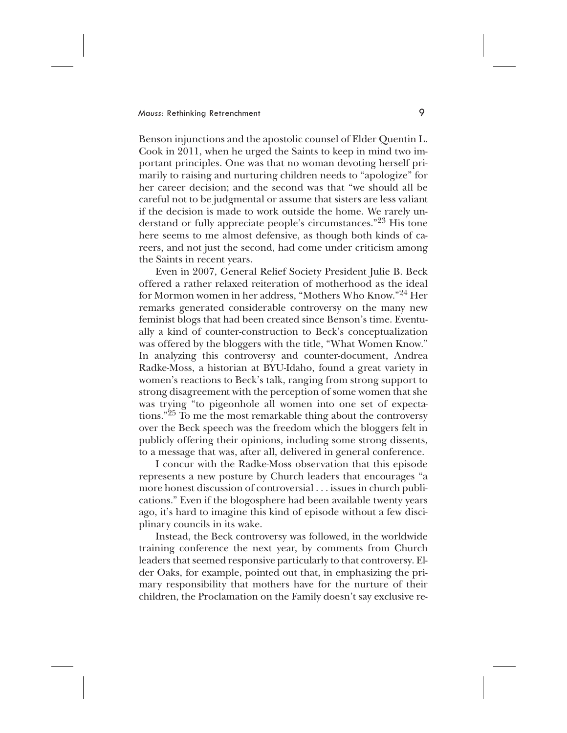Benson injunctions and the apostolic counsel of Elder Quentin L. Cook in 2011, when he urged the Saints to keep in mind two important principles. One was that no woman devoting herself primarily to raising and nurturing children needs to "apologize" for her career decision; and the second was that "we should all be careful not to be judgmental or assume that sisters are less valiant if the decision is made to work outside the home. We rarely understand or fully appreciate people's circumstances."<sup>23</sup> His tone here seems to me almost defensive, as though both kinds of careers, and not just the second, had come under criticism among the Saints in recent years.

Even in 2007, General Relief Society President Julie B. Beck offered a rather relaxed reiteration of motherhood as the ideal for Mormon women in her address, "Mothers Who Know."24 Her remarks generated considerable controversy on the many new feminist blogs that had been created since Benson's time. Eventually a kind of counter-construction to Beck's conceptualization was offered by the bloggers with the title, "What Women Know." In analyzing this controversy and counter-document, Andrea Radke-Moss, a historian at BYU-Idaho, found a great variety in women's reactions to Beck's talk, ranging from strong support to strong disagreement with the perception of some women that she was trying "to pigeonhole all women into one set of expectations."25 To me the most remarkable thing about the controversy over the Beck speech was the freedom which the bloggers felt in publicly offering their opinions, including some strong dissents, to a message that was, after all, delivered in general conference.

I concur with the Radke-Moss observation that this episode represents a new posture by Church leaders that encourages "a more honest discussion of controversial . . . issues in church publications." Even if the blogosphere had been available twenty years ago, it's hard to imagine this kind of episode without a few disciplinary councils in its wake.

Instead, the Beck controversy was followed, in the worldwide training conference the next year, by comments from Church leaders that seemed responsive particularly to that controversy. Elder Oaks, for example, pointed out that, in emphasizing the primary responsibility that mothers have for the nurture of their children, the Proclamation on the Family doesn't say exclusive re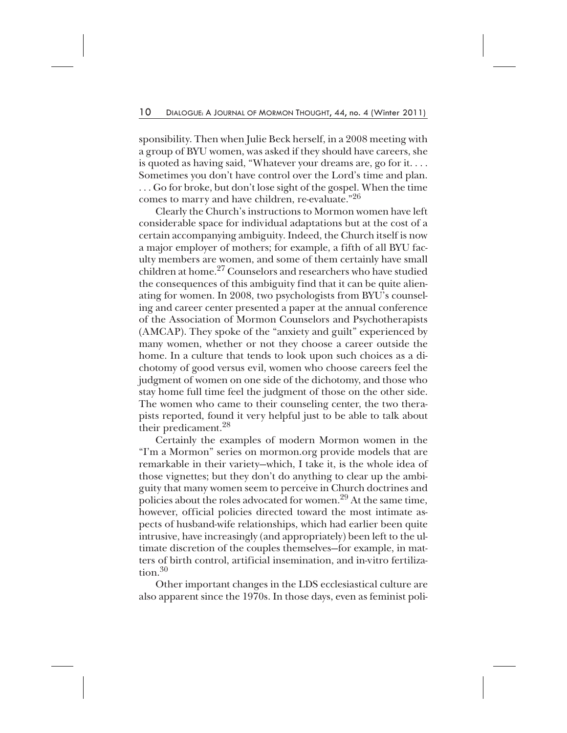sponsibility. Then when Julie Beck herself, in a 2008 meeting with a group of BYU women, was asked if they should have careers, she is quoted as having said, "Whatever your dreams are, go for it. . . . Sometimes you don't have control over the Lord's time and plan. . . . Go for broke, but don't lose sight of the gospel. When the time comes to marry and have children, re-evaluate."26

Clearly the Church's instructions to Mormon women have left considerable space for individual adaptations but at the cost of a certain accompanying ambiguity. Indeed, the Church itself is now a major employer of mothers; for example, a fifth of all BYU faculty members are women, and some of them certainly have small children at home.<sup>27</sup> Counselors and researchers who have studied the consequences of this ambiguity find that it can be quite alienating for women. In 2008, two psychologists from BYU's counseling and career center presented a paper at the annual conference of the Association of Mormon Counselors and Psychotherapists (AMCAP). They spoke of the "anxiety and guilt" experienced by many women, whether or not they choose a career outside the home. In a culture that tends to look upon such choices as a dichotomy of good versus evil, women who choose careers feel the judgment of women on one side of the dichotomy, and those who stay home full time feel the judgment of those on the other side. The women who came to their counseling center, the two therapists reported, found it very helpful just to be able to talk about their predicament.28

Certainly the examples of modern Mormon women in the "I'm a Mormon" series on mormon.org provide models that are remarkable in their variety—which, I take it, is the whole idea of those vignettes; but they don't do anything to clear up the ambiguity that many women seem to perceive in Church doctrines and policies about the roles advocated for women.29 At the same time, however, official policies directed toward the most intimate aspects of husband-wife relationships, which had earlier been quite intrusive, have increasingly (and appropriately) been left to the ultimate discretion of the couples themselves—for example, in matters of birth control, artificial insemination, and in-vitro fertilization.<sup>30</sup>

Other important changes in the LDS ecclesiastical culture are also apparent since the 1970s. In those days, even as feminist poli-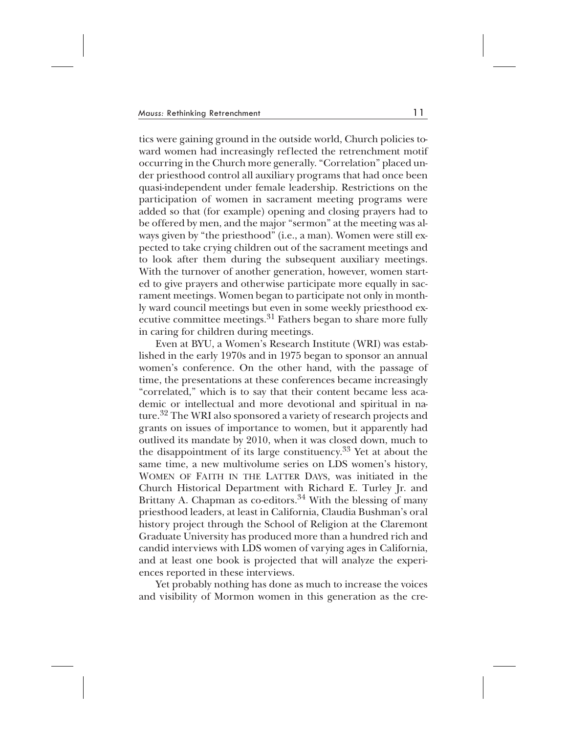tics were gaining ground in the outside world, Church policies toward women had increasingly reflected the retrenchment motif occurring in the Church more generally. "Correlation" placed under priesthood control all auxiliary programs that had once been quasi-independent under female leadership. Restrictions on the participation of women in sacrament meeting programs were added so that (for example) opening and closing prayers had to be offered by men, and the major "sermon" at the meeting was always given by "the priesthood" (i.e., a man). Women were still expected to take crying children out of the sacrament meetings and to look after them during the subsequent auxiliary meetings. With the turnover of another generation, however, women started to give prayers and otherwise participate more equally in sacrament meetings. Women began to participate not only in monthly ward council meetings but even in some weekly priesthood executive committee meetings.<sup>31</sup> Fathers began to share more fully in caring for children during meetings.

Even at BYU, a Women's Research Institute (WRI) was established in the early 1970s and in 1975 began to sponsor an annual women's conference. On the other hand, with the passage of time, the presentations at these conferences became increasingly "correlated," which is to say that their content became less academic or intellectual and more devotional and spiritual in nature.<sup>32</sup> The WRI also sponsored a variety of research projects and grants on issues of importance to women, but it apparently had outlived its mandate by 2010, when it was closed down, much to the disappointment of its large constituency.<sup>33</sup> Yet at about the same time, a new multivolume series on LDS women's history, WOMEN OF FAITH IN THE LATTER DAYS, was initiated in the Church Historical Department with Richard E. Turley Jr. and Brittany A. Chapman as co-editors. $34$  With the blessing of many priesthood leaders, at least in California, Claudia Bushman's oral history project through the School of Religion at the Claremont Graduate University has produced more than a hundred rich and candid interviews with LDS women of varying ages in California, and at least one book is projected that will analyze the experiences reported in these interviews.

Yet probably nothing has done as much to increase the voices and visibility of Mormon women in this generation as the cre-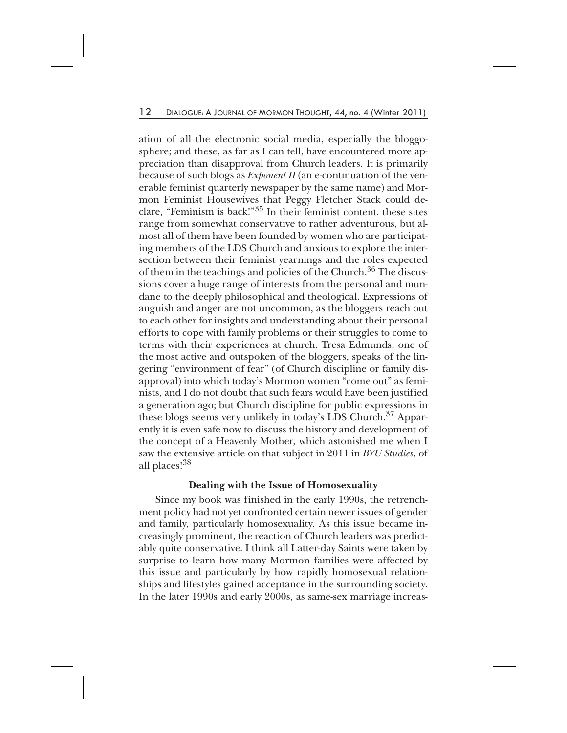ation of all the electronic social media, especially the bloggosphere; and these, as far as I can tell, have encountered more appreciation than disapproval from Church leaders. It is primarily because of such blogs as *Exponent II* (an e-continuation of the venerable feminist quarterly newspaper by the same name) and Mormon Feminist Housewives that Peggy Fletcher Stack could declare, "Feminism is back!"35 In their feminist content, these sites range from somewhat conservative to rather adventurous, but almost all of them have been founded by women who are participating members of the LDS Church and anxious to explore the intersection between their feminist yearnings and the roles expected of them in the teachings and policies of the Church.<sup>36</sup> The discussions cover a huge range of interests from the personal and mundane to the deeply philosophical and theological. Expressions of anguish and anger are not uncommon, as the bloggers reach out to each other for insights and understanding about their personal efforts to cope with family problems or their struggles to come to terms with their experiences at church. Tresa Edmunds, one of the most active and outspoken of the bloggers, speaks of the lingering "environment of fear" (of Church discipline or family disapproval) into which today's Mormon women "come out" as feminists, and I do not doubt that such fears would have been justified a generation ago; but Church discipline for public expressions in these blogs seems very unlikely in today's LDS Church.<sup>37</sup> Apparently it is even safe now to discuss the history and development of the concept of a Heavenly Mother, which astonished me when I saw the extensive article on that subject in 2011 in *BYU Studies*, of all places!<sup>38</sup>

# **Dealing with the Issue of Homosexuality**

Since my book was finished in the early 1990s, the retrenchment policy had not yet confronted certain newer issues of gender and family, particularly homosexuality. As this issue became increasingly prominent, the reaction of Church leaders was predictably quite conservative. I think all Latter-day Saints were taken by surprise to learn how many Mormon families were affected by this issue and particularly by how rapidly homosexual relationships and lifestyles gained acceptance in the surrounding society. In the later 1990s and early 2000s, as same-sex marriage increas-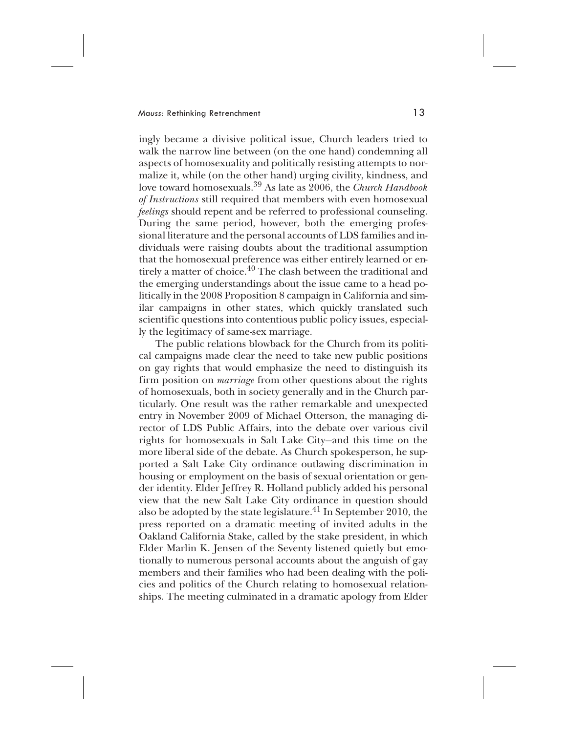ingly became a divisive political issue, Church leaders tried to walk the narrow line between (on the one hand) condemning all aspects of homosexuality and politically resisting attempts to normalize it, while (on the other hand) urging civility, kindness, and love toward homosexuals.39 As late as 2006, the *Church Handbook of Instructions* still required that members with even homosexual *feelings* should repent and be referred to professional counseling. During the same period, however, both the emerging professional literature and the personal accounts of LDS families and individuals were raising doubts about the traditional assumption that the homosexual preference was either entirely learned or entirely a matter of choice.<sup>40</sup> The clash between the traditional and the emerging understandings about the issue came to a head politically in the 2008 Proposition 8 campaign in California and similar campaigns in other states, which quickly translated such scientific questions into contentious public policy issues, especially the legitimacy of same-sex marriage.

The public relations blowback for the Church from its political campaigns made clear the need to take new public positions on gay rights that would emphasize the need to distinguish its firm position on *marriage* from other questions about the rights of homosexuals, both in society generally and in the Church particularly. One result was the rather remarkable and unexpected entry in November 2009 of Michael Otterson, the managing director of LDS Public Affairs, into the debate over various civil rights for homosexuals in Salt Lake City—and this time on the more liberal side of the debate. As Church spokesperson, he supported a Salt Lake City ordinance outlawing discrimination in housing or employment on the basis of sexual orientation or gender identity. Elder Jeffrey R. Holland publicly added his personal view that the new Salt Lake City ordinance in question should also be adopted by the state legislature.<sup>41</sup> In September 2010, the press reported on a dramatic meeting of invited adults in the Oakland California Stake, called by the stake president, in which Elder Marlin K. Jensen of the Seventy listened quietly but emotionally to numerous personal accounts about the anguish of gay members and their families who had been dealing with the policies and politics of the Church relating to homosexual relationships. The meeting culminated in a dramatic apology from Elder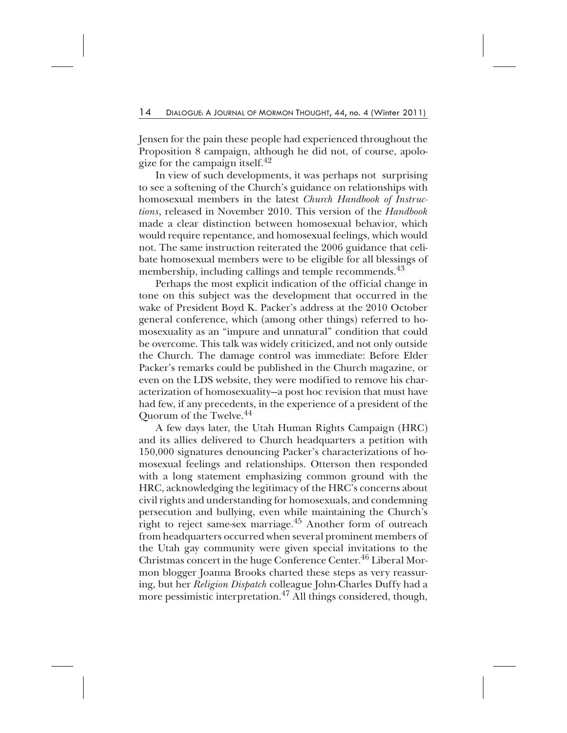Jensen for the pain these people had experienced throughout the Proposition 8 campaign, although he did not, of course, apologize for the campaign itself. $42$ 

In view of such developments, it was perhaps not surprising to see a softening of the Church's guidance on relationships with homosexual members in the latest *Church Handbook of Instructions*, released in November 2010. This version of the *Handbook* made a clear distinction between homosexual behavior, which would require repentance, and homosexual feelings, which would not. The same instruction reiterated the 2006 guidance that celibate homosexual members were to be eligible for all blessings of membership, including callings and temple recommends.<sup>43</sup>

Perhaps the most explicit indication of the official change in tone on this subject was the development that occurred in the wake of President Boyd K. Packer's address at the 2010 October general conference, which (among other things) referred to homosexuality as an "impure and unnatural" condition that could be overcome. This talk was widely criticized, and not only outside the Church. The damage control was immediate: Before Elder Packer's remarks could be published in the Church magazine, or even on the LDS website, they were modified to remove his characterization of homosexuality—a post hoc revision that must have had few, if any precedents, in the experience of a president of the Quorum of the Twelve.<sup>44</sup>

A few days later, the Utah Human Rights Campaign (HRC) and its allies delivered to Church headquarters a petition with 150,000 signatures denouncing Packer's characterizations of homosexual feelings and relationships. Otterson then responded with a long statement emphasizing common ground with the HRC, acknowledging the legitimacy of the HRC's concerns about civil rights and understanding for homosexuals, and condemning persecution and bullying, even while maintaining the Church's right to reject same-sex marriage.<sup>45</sup> Another form of outreach from headquarters occurred when several prominent members of the Utah gay community were given special invitations to the Christmas concert in the huge Conference Center.<sup>46</sup> Liberal Mormon blogger Joanna Brooks charted these steps as very reassuring, but her *Religion Dispatch* colleague John-Charles Duffy had a more pessimistic interpretation.<sup>47</sup> All things considered, though,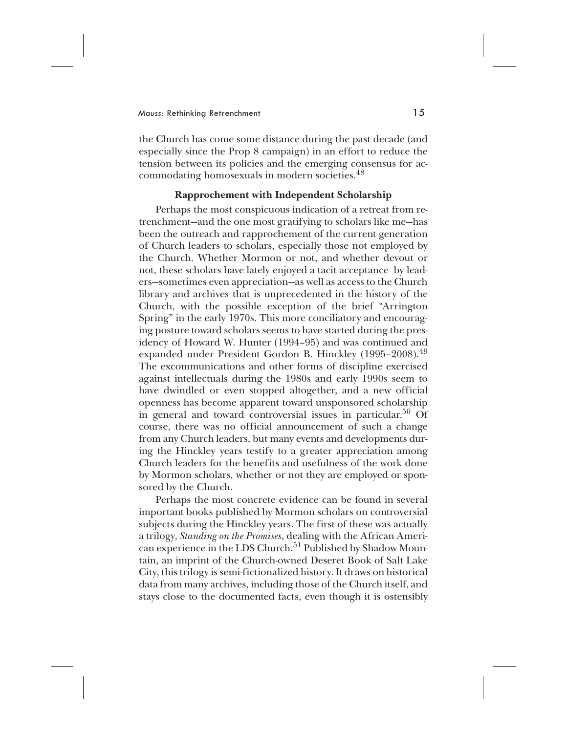the Church has come some distance during the past decade (and especially since the Prop 8 campaign) in an effort to reduce the tension between its policies and the emerging consensus for accommodating homosexuals in modern societies.<sup>48</sup>

# **Rapprochement with Independent Scholarship**

Perhaps the most conspicuous indication of a retreat from retrenchment—and the one most gratifying to scholars like me—has been the outreach and rapprochement of the current generation of Church leaders to scholars, especially those not employed by the Church. Whether Mormon or not, and whether devout or not, these scholars have lately enjoyed a tacit acceptance by leaders—sometimes even appreciation—as well as access to the Church library and archives that is unprecedented in the history of the Church, with the possible exception of the brief "Arrington Spring" in the early 1970s. This more conciliatory and encouraging posture toward scholars seems to have started during the presidency of Howard W. Hunter (1994–95) and was continued and expanded under President Gordon B. Hinckley (1995–2008).<sup>49</sup> The excommunications and other forms of discipline exercised against intellectuals during the 1980s and early 1990s seem to have dwindled or even stopped altogether, and a new official openness has become apparent toward unsponsored scholarship in general and toward controversial issues in particular.<sup>50</sup> Of course, there was no official announcement of such a change from any Church leaders, but many events and developments during the Hinckley years testify to a greater appreciation among Church leaders for the benefits and usefulness of the work done by Mormon scholars, whether or not they are employed or sponsored by the Church.

Perhaps the most concrete evidence can be found in several important books published by Mormon scholars on controversial subjects during the Hinckley years. The first of these was actually a trilogy, *Standing on the Promises*, dealing with the African American experience in the LDS Church.<sup>51</sup> Published by Shadow Mountain, an imprint of the Church-owned Deseret Book of Salt Lake City, this trilogy is semi-fictionalized history. It draws on historical data from many archives, including those of the Church itself, and stays close to the documented facts, even though it is ostensibly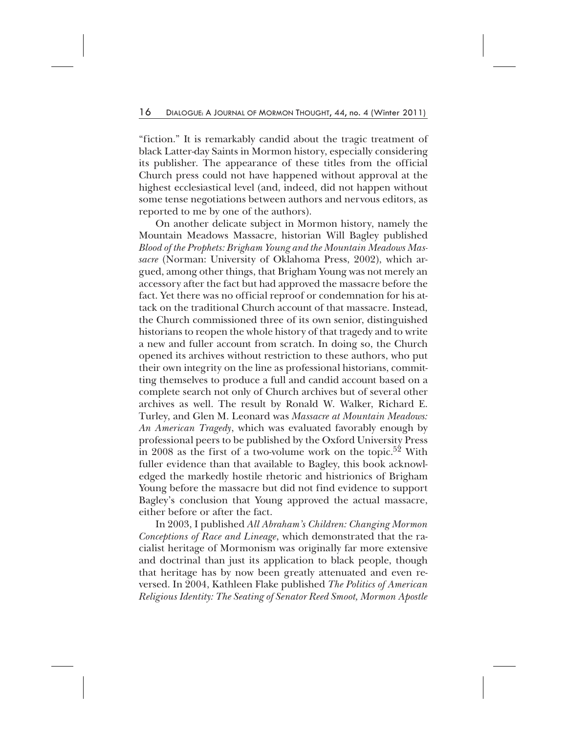"fiction." It is remarkably candid about the tragic treatment of black Latter-day Saints in Mormon history, especially considering its publisher. The appearance of these titles from the official Church press could not have happened without approval at the highest ecclesiastical level (and, indeed, did not happen without some tense negotiations between authors and nervous editors, as reported to me by one of the authors).

On another delicate subject in Mormon history, namely the Mountain Meadows Massacre, historian Will Bagley published *Blood of the Prophets: Brigham Young and the Mountain Meadows Massacre* (Norman: University of Oklahoma Press, 2002), which argued, among other things, that Brigham Young was not merely an accessory after the fact but had approved the massacre before the fact. Yet there was no official reproof or condemnation for his attack on the traditional Church account of that massacre. Instead, the Church commissioned three of its own senior, distinguished historians to reopen the whole history of that tragedy and to write a new and fuller account from scratch. In doing so, the Church opened its archives without restriction to these authors, who put their own integrity on the line as professional historians, committing themselves to produce a full and candid account based on a complete search not only of Church archives but of several other archives as well. The result by Ronald W. Walker, Richard E. Turley, and Glen M. Leonard was *Massacre at Mountain Meadows: An American Tragedy*, which was evaluated favorably enough by professional peers to be published by the Oxford University Press in 2008 as the first of a two-volume work on the topic.<sup>52</sup> With fuller evidence than that available to Bagley, this book acknowledged the markedly hostile rhetoric and histrionics of Brigham Young before the massacre but did not find evidence to support Bagley's conclusion that Young approved the actual massacre, either before or after the fact.

In 2003, I published *All Abraham's Children: Changing Mormon Conceptions of Race and Lineage*, which demonstrated that the racialist heritage of Mormonism was originally far more extensive and doctrinal than just its application to black people, though that heritage has by now been greatly attenuated and even reversed. In 2004, Kathleen Flake published *The Politics of American Religious Identity: The Seating of Senator Reed Smoot, Mormon Apostle*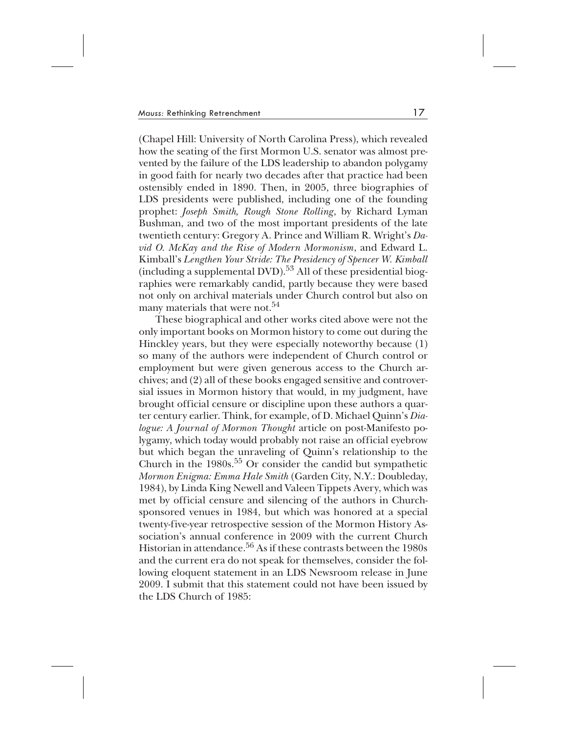(Chapel Hill: University of North Carolina Press), which revealed how the seating of the first Mormon U.S. senator was almost prevented by the failure of the LDS leadership to abandon polygamy in good faith for nearly two decades after that practice had been ostensibly ended in 1890. Then, in 2005, three biographies of LDS presidents were published, including one of the founding prophet: *Joseph Smith, Rough Stone Rolling*, by Richard Lyman Bushman, and two of the most important presidents of the late twentieth century: Gregory A. Prince and William R. Wright's *David O. McKay and the Rise of Modern Mormonism*, and Edward L. Kimball's *Lengthen Your Stride: The Presidency of Spencer W. Kimball* (including a supplemental DVD).<sup>53</sup> All of these presidential biographies were remarkably candid, partly because they were based not only on archival materials under Church control but also on many materials that were not.<sup>54</sup>

These biographical and other works cited above were not the only important books on Mormon history to come out during the Hinckley years, but they were especially noteworthy because (1) so many of the authors were independent of Church control or employment but were given generous access to the Church archives; and (2) all of these books engaged sensitive and controversial issues in Mormon history that would, in my judgment, have brought official censure or discipline upon these authors a quarter century earlier. Think, for example, of D. Michael Quinn's *Dialogue: A Journal of Mormon Thought* article on post-Manifesto polygamy, which today would probably not raise an official eyebrow but which began the unraveling of Quinn's relationship to the Church in the  $1980s$ .<sup>55</sup> Or consider the candid but sympathetic *Mormon Enigma: Emma Hale Smith* (Garden City, N.Y.: Doubleday, 1984), by Linda King Newell and Valeen Tippets Avery, which was met by official censure and silencing of the authors in Churchsponsored venues in 1984, but which was honored at a special twenty-five-year retrospective session of the Mormon History Association's annual conference in 2009 with the current Church Historian in attendance.<sup>56</sup> As if these contrasts between the 1980s and the current era do not speak for themselves, consider the following eloquent statement in an LDS Newsroom release in June 2009. I submit that this statement could not have been issued by the LDS Church of 1985: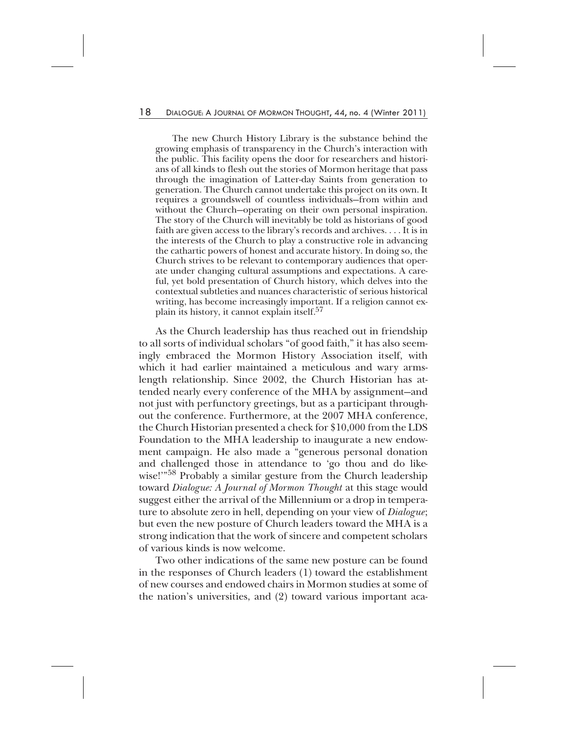The new Church History Library is the substance behind the growing emphasis of transparency in the Church's interaction with the public. This facility opens the door for researchers and historians of all kinds to flesh out the stories of Mormon heritage that pass through the imagination of Latter-day Saints from generation to generation. The Church cannot undertake this project on its own. It requires a groundswell of countless individuals—from within and without the Church—operating on their own personal inspiration. The story of the Church will inevitably be told as historians of good faith are given access to the library's records and archives. . . . It is in the interests of the Church to play a constructive role in advancing the cathartic powers of honest and accurate history. In doing so, the Church strives to be relevant to contemporary audiences that operate under changing cultural assumptions and expectations. A careful, yet bold presentation of Church history, which delves into the contextual subtleties and nuances characteristic of serious historical writing, has become increasingly important. If a religion cannot explain its history, it cannot explain itself.57

As the Church leadership has thus reached out in friendship to all sorts of individual scholars "of good faith," it has also seemingly embraced the Mormon History Association itself, with which it had earlier maintained a meticulous and wary armslength relationship. Since 2002, the Church Historian has attended nearly every conference of the MHA by assignment—and not just with perfunctory greetings, but as a participant throughout the conference. Furthermore, at the 2007 MHA conference, the Church Historian presented a check for \$10,000 from the LDS Foundation to the MHA leadership to inaugurate a new endowment campaign. He also made a "generous personal donation and challenged those in attendance to 'go thou and do likewise!"<sup>58</sup> Probably a similar gesture from the Church leadership toward *Dialogue: A Journal of Mormon Thought* at this stage would suggest either the arrival of the Millennium or a drop in temperature to absolute zero in hell, depending on your view of *Dialogue*; but even the new posture of Church leaders toward the MHA is a strong indication that the work of sincere and competent scholars of various kinds is now welcome.

Two other indications of the same new posture can be found in the responses of Church leaders (1) toward the establishment of new courses and endowed chairs in Mormon studies at some of the nation's universities, and (2) toward various important aca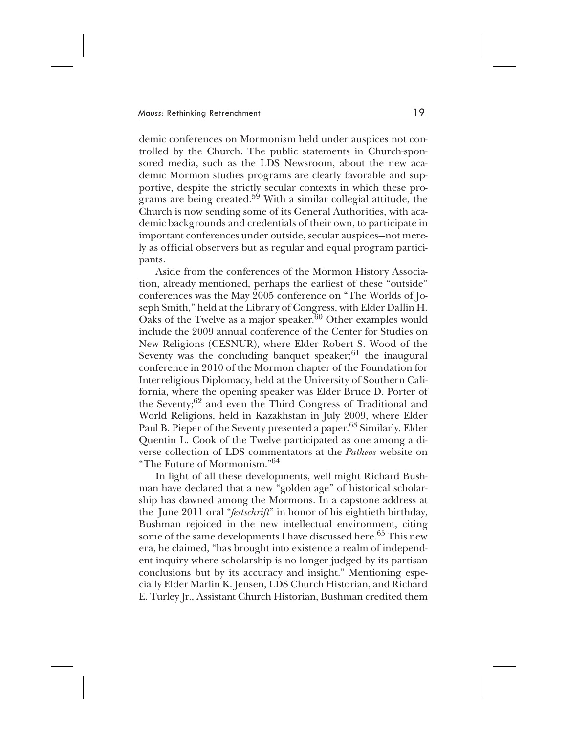demic conferences on Mormonism held under auspices not controlled by the Church. The public statements in Church-sponsored media, such as the LDS Newsroom, about the new academic Mormon studies programs are clearly favorable and supportive, despite the strictly secular contexts in which these programs are being created.<sup>59</sup> With a similar collegial attitude, the Church is now sending some of its General Authorities, with academic backgrounds and credentials of their own, to participate in important conferences under outside, secular auspices—not merely as official observers but as regular and equal program participants.

Aside from the conferences of the Mormon History Association, already mentioned, perhaps the earliest of these "outside" conferences was the May 2005 conference on "The Worlds of Joseph Smith," held at the Library of Congress, with Elder Dallin H. Oaks of the Twelve as a major speaker.<sup>60</sup> Other examples would include the 2009 annual conference of the Center for Studies on New Religions (CESNUR), where Elder Robert S. Wood of the Seventy was the concluding banquet speaker; $61$  the inaugural conference in 2010 of the Mormon chapter of the Foundation for Interreligious Diplomacy, held at the University of Southern California, where the opening speaker was Elder Bruce D. Porter of the Seventy;<sup>62</sup> and even the Third Congress of Traditional and World Religions, held in Kazakhstan in July 2009, where Elder Paul B. Pieper of the Seventy presented a paper.<sup>63</sup> Similarly, Elder Quentin L. Cook of the Twelve participated as one among a diverse collection of LDS commentators at the *Patheos* website on "The Future of Mormonism."64

In light of all these developments, well might Richard Bushman have declared that a new "golden age" of historical scholarship has dawned among the Mormons. In a capstone address at the June 2011 oral "*festschrift*" in honor of his eightieth birthday, Bushman rejoiced in the new intellectual environment, citing some of the same developments I have discussed here.<sup>65</sup> This new era, he claimed, "has brought into existence a realm of independent inquiry where scholarship is no longer judged by its partisan conclusions but by its accuracy and insight." Mentioning especially Elder Marlin K. Jensen, LDS Church Historian, and Richard E. Turley Jr., Assistant Church Historian, Bushman credited them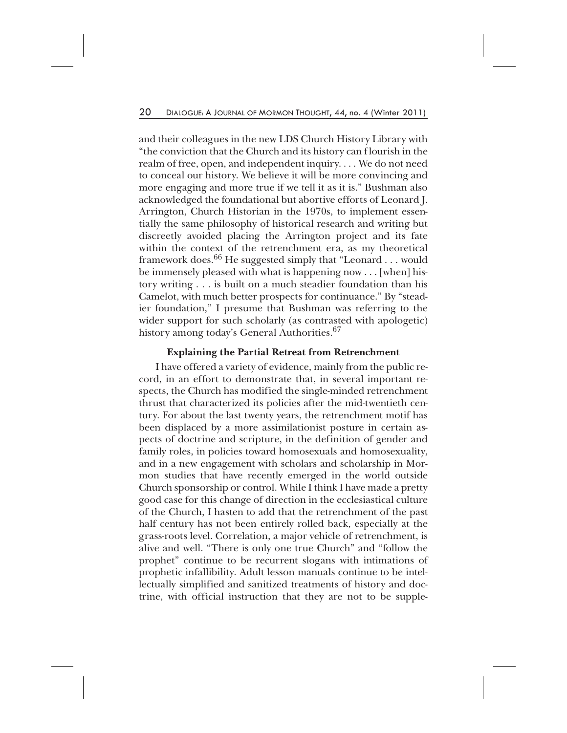and their colleagues in the new LDS Church History Library with "the conviction that the Church and its history can flourish in the realm of free, open, and independent inquiry. . . . We do not need to conceal our history. We believe it will be more convincing and more engaging and more true if we tell it as it is." Bushman also acknowledged the foundational but abortive efforts of Leonard J. Arrington, Church Historian in the 1970s, to implement essentially the same philosophy of historical research and writing but discreetly avoided placing the Arrington project and its fate within the context of the retrenchment era, as my theoretical framework does.<sup>66</sup> He suggested simply that "Leonard . . . would be immensely pleased with what is happening now . . . [when] history writing . . . is built on a much steadier foundation than his Camelot, with much better prospects for continuance." By "steadier foundation," I presume that Bushman was referring to the wider support for such scholarly (as contrasted with apologetic) history among today's General Authorities.<sup>67</sup>

# **Explaining the Partial Retreat from Retrenchment**

I have offered a variety of evidence, mainly from the public record, in an effort to demonstrate that, in several important respects, the Church has modified the single-minded retrenchment thrust that characterized its policies after the mid-twentieth century. For about the last twenty years, the retrenchment motif has been displaced by a more assimilationist posture in certain aspects of doctrine and scripture, in the definition of gender and family roles, in policies toward homosexuals and homosexuality, and in a new engagement with scholars and scholarship in Mormon studies that have recently emerged in the world outside Church sponsorship or control. While I think I have made a pretty good case for this change of direction in the ecclesiastical culture of the Church, I hasten to add that the retrenchment of the past half century has not been entirely rolled back, especially at the grass-roots level. Correlation, a major vehicle of retrenchment, is alive and well. "There is only one true Church" and "follow the prophet" continue to be recurrent slogans with intimations of prophetic infallibility. Adult lesson manuals continue to be intellectually simplified and sanitized treatments of history and doctrine, with official instruction that they are not to be supple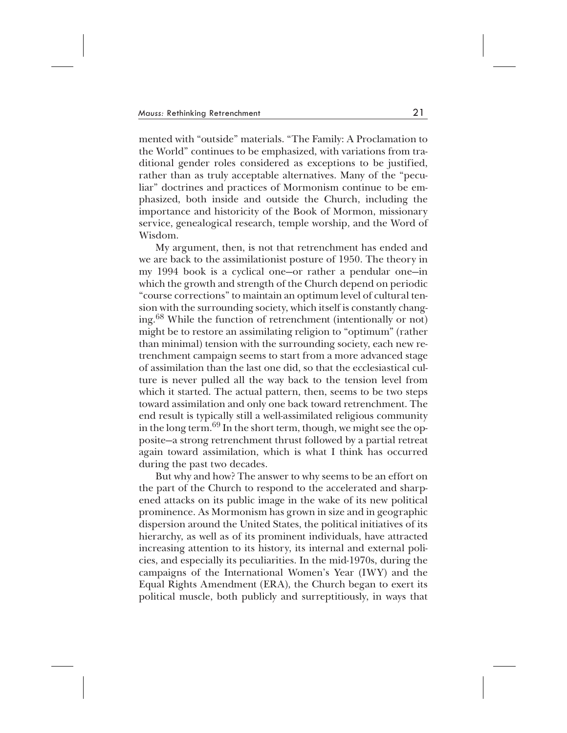mented with "outside" materials. "The Family: A Proclamation to the World" continues to be emphasized, with variations from traditional gender roles considered as exceptions to be justified, rather than as truly acceptable alternatives. Many of the "peculiar" doctrines and practices of Mormonism continue to be emphasized, both inside and outside the Church, including the importance and historicity of the Book of Mormon, missionary service, genealogical research, temple worship, and the Word of Wisdom.

My argument, then, is not that retrenchment has ended and we are back to the assimilationist posture of 1950. The theory in my 1994 book is a cyclical one—or rather a pendular one—in which the growth and strength of the Church depend on periodic "course corrections" to maintain an optimum level of cultural tension with the surrounding society, which itself is constantly changing.<sup>68</sup> While the function of retrenchment (intentionally or not) might be to restore an assimilating religion to "optimum" (rather than minimal) tension with the surrounding society, each new retrenchment campaign seems to start from a more advanced stage of assimilation than the last one did, so that the ecclesiastical culture is never pulled all the way back to the tension level from which it started. The actual pattern, then, seems to be two steps toward assimilation and only one back toward retrenchment. The end result is typically still a well-assimilated religious community in the long term.<sup>69</sup> In the short term, though, we might see the opposite—a strong retrenchment thrust followed by a partial retreat again toward assimilation, which is what I think has occurred during the past two decades.

But why and how? The answer to why seems to be an effort on the part of the Church to respond to the accelerated and sharpened attacks on its public image in the wake of its new political prominence. As Mormonism has grown in size and in geographic dispersion around the United States, the political initiatives of its hierarchy, as well as of its prominent individuals, have attracted increasing attention to its history, its internal and external policies, and especially its peculiarities. In the mid-1970s, during the campaigns of the International Women's Year (IWY) and the Equal Rights Amendment (ERA), the Church began to exert its political muscle, both publicly and surreptitiously, in ways that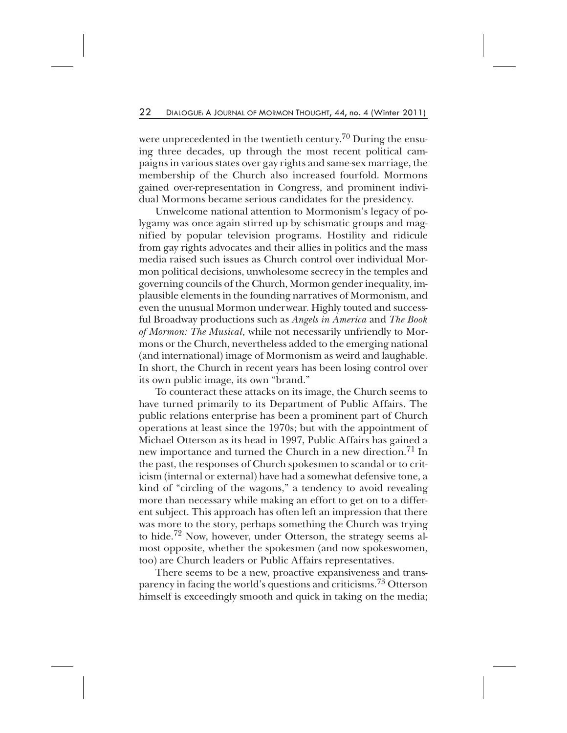were unprecedented in the twentieth century.<sup>70</sup> During the ensuing three decades, up through the most recent political campaigns in various states over gay rights and same-sex marriage, the membership of the Church also increased fourfold. Mormons gained over-representation in Congress, and prominent individual Mormons became serious candidates for the presidency.

Unwelcome national attention to Mormonism's legacy of polygamy was once again stirred up by schismatic groups and magnified by popular television programs. Hostility and ridicule from gay rights advocates and their allies in politics and the mass media raised such issues as Church control over individual Mormon political decisions, unwholesome secrecy in the temples and governing councils of the Church, Mormon gender inequality, implausible elements in the founding narratives of Mormonism, and even the unusual Mormon underwear. Highly touted and successful Broadway productions such as *Angels in America* and *The Book of Mormon: The Musical*, while not necessarily unfriendly to Mormons or the Church, nevertheless added to the emerging national (and international) image of Mormonism as weird and laughable. In short, the Church in recent years has been losing control over its own public image, its own "brand."

To counteract these attacks on its image, the Church seems to have turned primarily to its Department of Public Affairs. The public relations enterprise has been a prominent part of Church operations at least since the 1970s; but with the appointment of Michael Otterson as its head in 1997, Public Affairs has gained a new importance and turned the Church in a new direction.<sup>71</sup> In the past, the responses of Church spokesmen to scandal or to criticism (internal or external) have had a somewhat defensive tone, a kind of "circling of the wagons," a tendency to avoid revealing more than necessary while making an effort to get on to a different subject. This approach has often left an impression that there was more to the story, perhaps something the Church was trying to hide.<sup>72</sup> Now, however, under Otterson, the strategy seems almost opposite, whether the spokesmen (and now spokeswomen, too) are Church leaders or Public Affairs representatives.

There seems to be a new, proactive expansiveness and transparency in facing the world's questions and criticisms.<sup>73</sup> Otterson himself is exceedingly smooth and quick in taking on the media;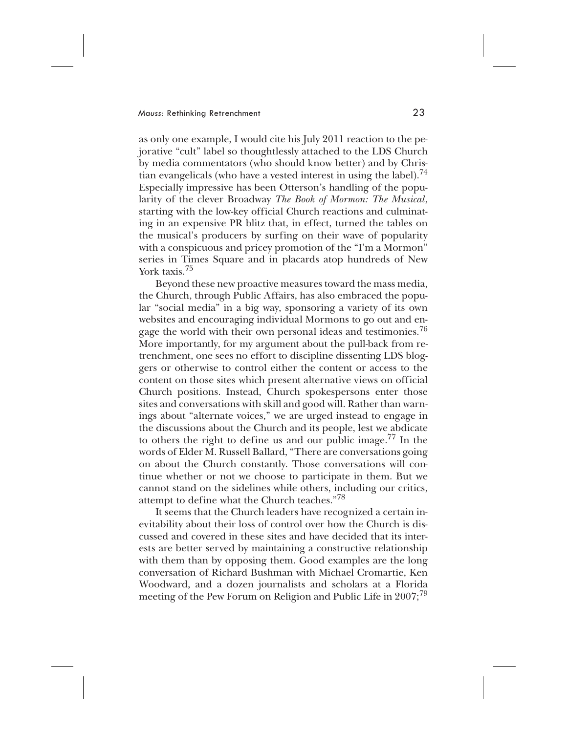as only one example, I would cite his July 2011 reaction to the pejorative "cult" label so thoughtlessly attached to the LDS Church by media commentators (who should know better) and by Christian evangelicals (who have a vested interest in using the label).<sup>74</sup> Especially impressive has been Otterson's handling of the popularity of the clever Broadway *The Book of Mormon: The Musical*, starting with the low-key official Church reactions and culminating in an expensive PR blitz that, in effect, turned the tables on the musical's producers by surfing on their wave of popularity with a conspicuous and pricey promotion of the "I'm a Mormon" series in Times Square and in placards atop hundreds of New York taxis.<sup>75</sup>

Beyond these new proactive measures toward the mass media, the Church, through Public Affairs, has also embraced the popular "social media" in a big way, sponsoring a variety of its own websites and encouraging individual Mormons to go out and engage the world with their own personal ideas and testimonies.<sup>76</sup> More importantly, for my argument about the pull-back from retrenchment, one sees no effort to discipline dissenting LDS bloggers or otherwise to control either the content or access to the content on those sites which present alternative views on official Church positions. Instead, Church spokespersons enter those sites and conversations with skill and good will. Rather than warnings about "alternate voices," we are urged instead to engage in the discussions about the Church and its people, lest we abdicate to others the right to define us and our public image.<sup>77</sup> In the words of Elder M. Russell Ballard, "There are conversations going on about the Church constantly. Those conversations will continue whether or not we choose to participate in them. But we cannot stand on the sidelines while others, including our critics, attempt to define what the Church teaches."78

It seems that the Church leaders have recognized a certain inevitability about their loss of control over how the Church is discussed and covered in these sites and have decided that its interests are better served by maintaining a constructive relationship with them than by opposing them. Good examples are the long conversation of Richard Bushman with Michael Cromartie, Ken Woodward, and a dozen journalists and scholars at a Florida meeting of the Pew Forum on Religion and Public Life in 2007;<sup>79</sup>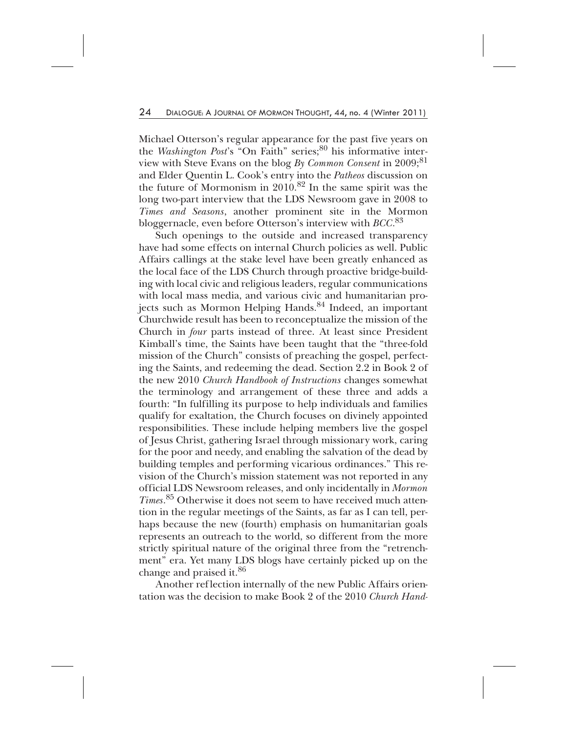Michael Otterson's regular appearance for the past five years on the *Washington Post's* "On Faith" series;<sup>80</sup> his informative interview with Steve Evans on the blog *By Common Consent* in 2009;<sup>81</sup> and Elder Quentin L. Cook's entry into the *Patheos* discussion on the future of Mormonism in 2010.<sup>82</sup> In the same spirit was the long two-part interview that the LDS Newsroom gave in 2008 to *Times and Seasons*, another prominent site in the Mormon bloggernacle, even before Otterson's interview with *BCC*. 83

Such openings to the outside and increased transparency have had some effects on internal Church policies as well. Public Affairs callings at the stake level have been greatly enhanced as the local face of the LDS Church through proactive bridge-building with local civic and religious leaders, regular communications with local mass media, and various civic and humanitarian projects such as Mormon Helping Hands.<sup>84</sup> Indeed, an important Churchwide result has been to reconceptualize the mission of the Church in *four* parts instead of three. At least since President Kimball's time, the Saints have been taught that the "three-fold mission of the Church" consists of preaching the gospel, perfecting the Saints, and redeeming the dead. Section 2.2 in Book 2 of the new 2010 *Church Handbook of Instructions* changes somewhat the terminology and arrangement of these three and adds a fourth: "In fulfilling its purpose to help individuals and families qualify for exaltation, the Church focuses on divinely appointed responsibilities. These include helping members live the gospel of Jesus Christ, gathering Israel through missionary work, caring for the poor and needy, and enabling the salvation of the dead by building temples and performing vicarious ordinances." This revision of the Church's mission statement was not reported in any official LDS Newsroom releases, and only incidentally in *Mormon Times*. <sup>85</sup> Otherwise it does not seem to have received much attention in the regular meetings of the Saints, as far as I can tell, perhaps because the new (fourth) emphasis on humanitarian goals represents an outreach to the world, so different from the more strictly spiritual nature of the original three from the "retrenchment" era. Yet many LDS blogs have certainly picked up on the change and praised it.<sup>86</sup>

Another reflection internally of the new Public Affairs orientation was the decision to make Book 2 of the 2010 *Church Hand-*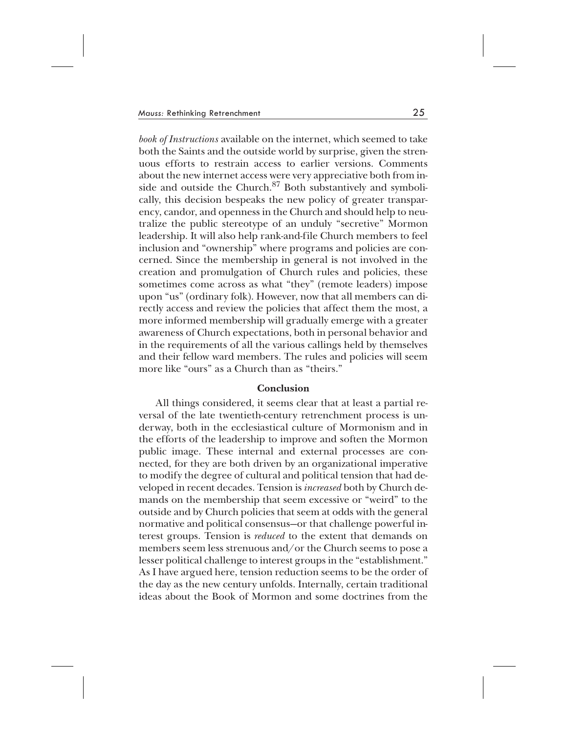*book of Instructions* available on the internet, which seemed to take both the Saints and the outside world by surprise, given the strenuous efforts to restrain access to earlier versions. Comments about the new internet access were very appreciative both from inside and outside the Church.<sup>87</sup> Both substantively and symbolically, this decision bespeaks the new policy of greater transparency, candor, and openness in the Church and should help to neutralize the public stereotype of an unduly "secretive" Mormon leadership. It will also help rank-and-file Church members to feel inclusion and "ownership" where programs and policies are concerned. Since the membership in general is not involved in the creation and promulgation of Church rules and policies, these sometimes come across as what "they" (remote leaders) impose upon "us" (ordinary folk). However, now that all members can directly access and review the policies that affect them the most, a more informed membership will gradually emerge with a greater awareness of Church expectations, both in personal behavior and in the requirements of all the various callings held by themselves and their fellow ward members. The rules and policies will seem more like "ours" as a Church than as "theirs."

#### **Conclusion**

All things considered, it seems clear that at least a partial reversal of the late twentieth-century retrenchment process is underway, both in the ecclesiastical culture of Mormonism and in the efforts of the leadership to improve and soften the Mormon public image. These internal and external processes are connected, for they are both driven by an organizational imperative to modify the degree of cultural and political tension that had developed in recent decades. Tension is *increased* both by Church demands on the membership that seem excessive or "weird" to the outside and by Church policies that seem at odds with the general normative and political consensus—or that challenge powerful interest groups. Tension is *reduced* to the extent that demands on members seem less strenuous and/or the Church seems to pose a lesser political challenge to interest groups in the "establishment." As I have argued here, tension reduction seems to be the order of the day as the new century unfolds. Internally, certain traditional ideas about the Book of Mormon and some doctrines from the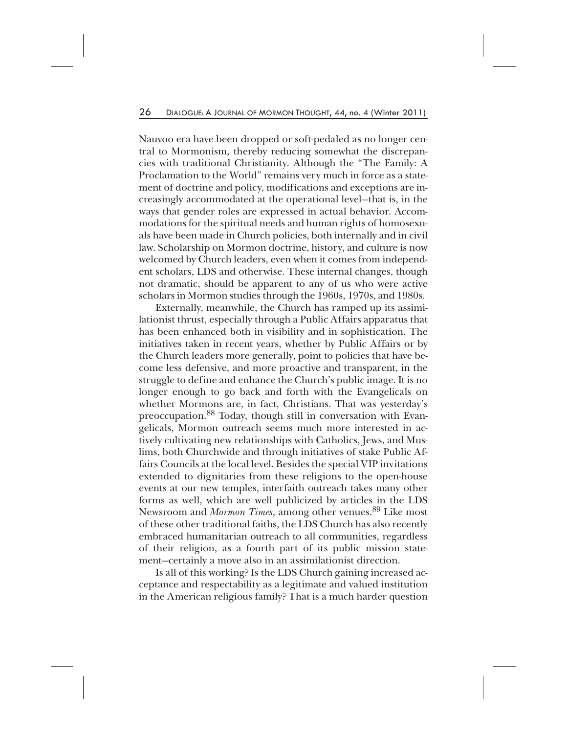Nauvoo era have been dropped or soft-pedaled as no longer central to Mormonism, thereby reducing somewhat the discrepancies with traditional Christianity. Although the "The Family: A Proclamation to the World" remains very much in force as a statement of doctrine and policy, modifications and exceptions are increasingly accommodated at the operational level—that is, in the ways that gender roles are expressed in actual behavior. Accommodations for the spiritual needs and human rights of homosexuals have been made in Church policies, both internally and in civil law. Scholarship on Mormon doctrine, history, and culture is now welcomed by Church leaders, even when it comes from independent scholars, LDS and otherwise. These internal changes, though not dramatic, should be apparent to any of us who were active scholars in Mormon studies through the 1960s, 1970s, and 1980s.

Externally, meanwhile, the Church has ramped up its assimilationist thrust, especially through a Public Affairs apparatus that has been enhanced both in visibility and in sophistication. The initiatives taken in recent years, whether by Public Affairs or by the Church leaders more generally, point to policies that have become less defensive, and more proactive and transparent, in the struggle to define and enhance the Church's public image. It is no longer enough to go back and forth with the Evangelicals on whether Mormons are, in fact, Christians. That was yesterday's preoccupation.<sup>88</sup> Today, though still in conversation with Evangelicals, Mormon outreach seems much more interested in actively cultivating new relationships with Catholics, Jews, and Muslims, both Churchwide and through initiatives of stake Public Affairs Councils at the local level. Besides the special VIP invitations extended to dignitaries from these religions to the open-house events at our new temples, interfaith outreach takes many other forms as well, which are well publicized by articles in the LDS Newsroom and *Mormon Times*, among other venues.<sup>89</sup> Like most of these other traditional faiths, the LDS Church has also recently embraced humanitarian outreach to all communities, regardless of their religion, as a fourth part of its public mission statement—certainly a move also in an assimilationist direction.

Is all of this working? Is the LDS Church gaining increased acceptance and respectability as a legitimate and valued institution in the American religious family? That is a much harder question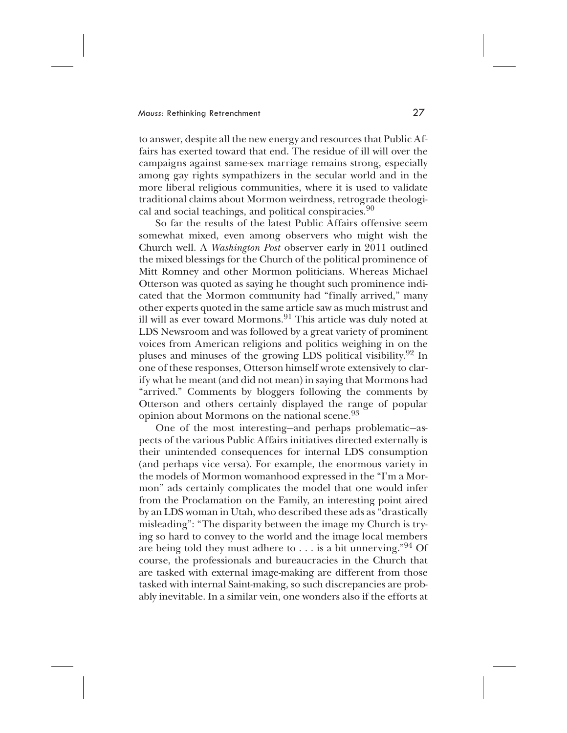to answer, despite all the new energy and resources that Public Affairs has exerted toward that end. The residue of ill will over the campaigns against same-sex marriage remains strong, especially among gay rights sympathizers in the secular world and in the more liberal religious communities, where it is used to validate traditional claims about Mormon weirdness, retrograde theological and social teachings, and political conspiracies.<sup>90</sup>

So far the results of the latest Public Affairs offensive seem somewhat mixed, even among observers who might wish the Church well. A *Washington Post* observer early in 2011 outlined the mixed blessings for the Church of the political prominence of Mitt Romney and other Mormon politicians. Whereas Michael Otterson was quoted as saying he thought such prominence indicated that the Mormon community had "finally arrived," many other experts quoted in the same article saw as much mistrust and ill will as ever toward Mormons.<sup>91</sup> This article was duly noted at LDS Newsroom and was followed by a great variety of prominent voices from American religions and politics weighing in on the pluses and minuses of the growing LDS political visibility.92 In one of these responses, Otterson himself wrote extensively to clarify what he meant (and did not mean) in saying that Mormons had "arrived." Comments by bloggers following the comments by Otterson and others certainly displayed the range of popular opinion about Mormons on the national scene.<sup>93</sup>

One of the most interesting—and perhaps problematic—aspects of the various Public Affairs initiatives directed externally is their unintended consequences for internal LDS consumption (and perhaps vice versa). For example, the enormous variety in the models of Mormon womanhood expressed in the "I'm a Mormon" ads certainly complicates the model that one would infer from the Proclamation on the Family, an interesting point aired by an LDS woman in Utah, who described these ads as "drastically misleading": "The disparity between the image my Church is trying so hard to convey to the world and the image local members are being told they must adhere to . . . is a bit unnerving."94 Of course, the professionals and bureaucracies in the Church that are tasked with external image-making are different from those tasked with internal Saint-making, so such discrepancies are probably inevitable. In a similar vein, one wonders also if the efforts at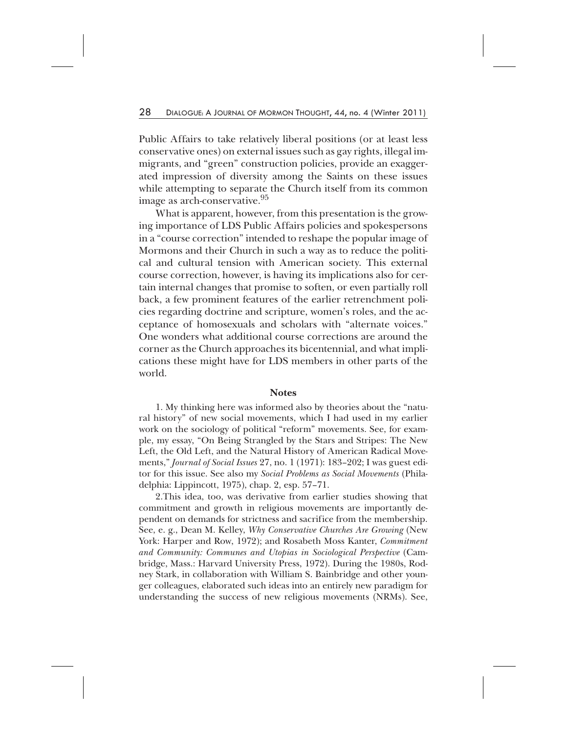Public Affairs to take relatively liberal positions (or at least less conservative ones) on external issues such as gay rights, illegal immigrants, and "green" construction policies, provide an exaggerated impression of diversity among the Saints on these issues while attempting to separate the Church itself from its common image as arch-conservative.<sup>95</sup>

What is apparent, however, from this presentation is the growing importance of LDS Public Affairs policies and spokespersons in a "course correction" intended to reshape the popular image of Mormons and their Church in such a way as to reduce the political and cultural tension with American society. This external course correction, however, is having its implications also for certain internal changes that promise to soften, or even partially roll back, a few prominent features of the earlier retrenchment policies regarding doctrine and scripture, women's roles, and the acceptance of homosexuals and scholars with "alternate voices." One wonders what additional course corrections are around the corner as the Church approaches its bicentennial, and what implications these might have for LDS members in other parts of the world.

#### **Notes**

1. My thinking here was informed also by theories about the "natural history" of new social movements, which I had used in my earlier work on the sociology of political "reform" movements. See, for example, my essay, "On Being Strangled by the Stars and Stripes: The New Left, the Old Left, and the Natural History of American Radical Movements," *Journal of Social Issues* 27, no. 1 (1971): 183–202; I was guest editor for this issue. See also my *Social Problems as Social Movements* (Philadelphia: Lippincott, 1975), chap. 2, esp. 57–71.

2.This idea, too, was derivative from earlier studies showing that commitment and growth in religious movements are importantly dependent on demands for strictness and sacrifice from the membership. See, e. g., Dean M. Kelley, *Why Conservative Churches Are Growing* (New York: Harper and Row, 1972); and Rosabeth Moss Kanter, *Commitment and Community: Communes and Utopias in Sociological Perspective* (Cambridge, Mass.: Harvard University Press, 1972). During the 1980s, Rodney Stark, in collaboration with William S. Bainbridge and other younger colleagues, elaborated such ideas into an entirely new paradigm for understanding the success of new religious movements (NRMs). See,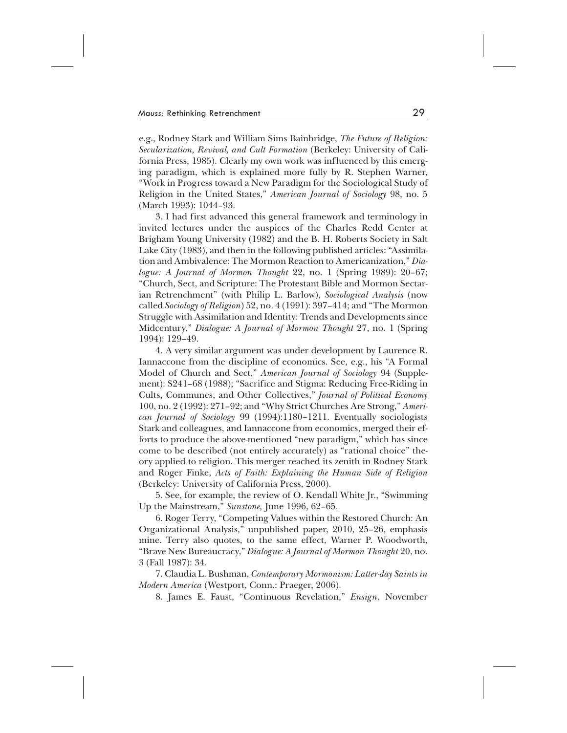e.g., Rodney Stark and William Sims Bainbridge, *The Future of Religion: Secularization, Revival, and Cult Formation* (Berkeley: University of California Press, 1985). Clearly my own work was influenced by this emerging paradigm, which is explained more fully by R. Stephen Warner, "Work in Progress toward a New Paradigm for the Sociological Study of Religion in the United States," *American Journal of Sociology* 98, no. 5 (March 1993): 1044–93.

3. I had first advanced this general framework and terminology in invited lectures under the auspices of the Charles Redd Center at Brigham Young University (1982) and the B. H. Roberts Society in Salt Lake City (1983), and then in the following published articles: "Assimilation and Ambivalence: The Mormon Reaction to Americanization," *Dialogue: A Journal of Mormon Thought* 22, no. 1 (Spring 1989): 20–67; "Church, Sect, and Scripture: The Protestant Bible and Mormon Sectarian Retrenchment" (with Philip L. Barlow), *Sociological Analysis* (now called *Sociology of Religion*) 52, no. 4 (1991): 397–414; and "The Mormon Struggle with Assimilation and Identity: Trends and Developments since Midcentury," *Dialogue: A Journal of Mormon Thought* 27, no. 1 (Spring 1994): 129–49.

4. A very similar argument was under development by Laurence R. Iannaccone from the discipline of economics. See, e.g., his "A Formal Model of Church and Sect," *American Journal of Sociology* 94 (Supplement): S241–68 (1988); "Sacrifice and Stigma: Reducing Free-Riding in Cults, Communes, and Other Collectives," *Journal of Political Economy* 100, no. 2 (1992): 271–92; and "Why Strict Churches Are Strong," *American Journal of Sociology* 99 (1994):1180–1211. Eventually sociologists Stark and colleagues, and Iannaccone from economics, merged their efforts to produce the above-mentioned "new paradigm," which has since come to be described (not entirely accurately) as "rational choice" theory applied to religion. This merger reached its zenith in Rodney Stark and Roger Finke, *Acts of Faith: Explaining the Human Side of Religion* (Berkeley: University of California Press, 2000).

5. See, for example, the review of O. Kendall White Jr., "Swimming Up the Mainstream," *Sunstone,* June 1996, 62–65.

6. Roger Terry, "Competing Values within the Restored Church: An Organizational Analysis," unpublished paper, 2010, 25–26, emphasis mine. Terry also quotes, to the same effect, Warner P. Woodworth, "Brave New Bureaucracy," *Dialogue: A Journal of Mormon Thought* 20, no. 3 (Fall 1987): 34.

7. Claudia L. Bushman, *Contemporary Mormonism: Latter-day Saints in Modern America* (Westport, Conn.: Praeger, 2006).

8. James E. Faust, "Continuous Revelation," *Ensign*, November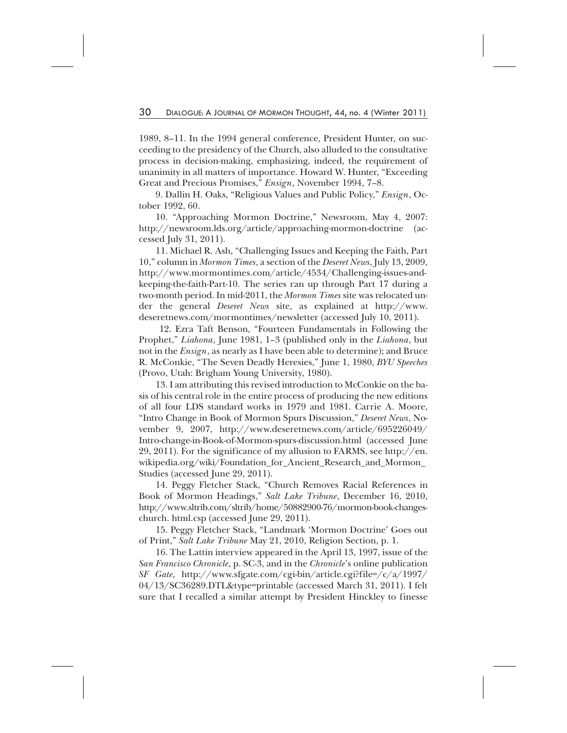1989, 8–11. In the 1994 general conference, President Hunter, on succeeding to the presidency of the Church, also alluded to the consultative process in decision-making, emphasizing, indeed, the requirement of unanimity in all matters of importance. Howard W. Hunter, "Exceeding Great and Precious Promises," *Ensign*, November 1994, 7–8.

9. Dallin H. Oaks, "Religious Values and Public Policy," *Ensign*, October 1992, 60.

10. "Approaching Mormon Doctrine," Newsroom, May 4, 2007: http://newsroom.lds.org/article/approaching-mormon-doctrine (accessed July 31, 2011).

11. Michael R. Ash, "Challenging Issues and Keeping the Faith, Part 10," column in *Mormon Times*, a section of the *Deseret News*, July 13, 2009, http://www.mormontimes.com/article/4534/Challenging-issues-andkeeping-the-faith-Part-10. The series ran up through Part 17 during a two-month period. In mid-2011, the *Mormon Times* site was relocated under the general *Deseret News* site, as explained at http://www. deseretnews.com/mormontimes/newsletter (accessed July 10, 2011).

12. Ezra Taft Benson, "Fourteen Fundamentals in Following the Prophet," *Liahona*, June 1981, 1–3 (published only in the *Liahona*, but not in the *Ensign*, as nearly as I have been able to determine); and Bruce R. McConkie, "The Seven Deadly Heresies," June 1, 1980, *BYU Speeches* (Provo, Utah: Brigham Young University, 1980).

13. I am attributing this revised introduction to McConkie on the basis of his central role in the entire process of producing the new editions of all four LDS standard works in 1979 and 1981. Carrie A. Moore, "Intro Change in Book of Mormon Spurs Discussion," *Deseret News*, November 9, 2007, http://www.deseretnews.com/article/695226049/ Intro-change-in-Book-of-Mormon-spurs-discussion.html (accessed June 29, 2011). For the significance of my allusion to FARMS, see http://en. wikipedia.org/wiki/Foundation\_for\_Ancient\_Research\_and\_Mormon\_ Studies (accessed June 29, 2011).

14. Peggy Fletcher Stack, "Church Removes Racial References in Book of Mormon Headings," *Salt Lake Tribune*, December 16, 2010, http://www.sltrib.com/sltrib/home/50882900-76/mormon-book-changeschurch. html.csp (accessed June 29, 2011).

15. Peggy Fletcher Stack, "Landmark 'Mormon Doctrine' Goes out of Print," *Salt Lake Tribune* May 21, 2010, Religion Section, p. 1.

16. The Lattin interview appeared in the April 13, 1997, issue of the *San Francisco Chronicle*, p. SC-3, and in the *Chronicle*'s online publication *SF Gate*, http://www.sfgate.com/cgi-bin/article.cgi?file=/c/a/1997/ 04/13/SC36289.DTL&type=printable (accessed March 31, 2011). I felt sure that I recalled a similar attempt by President Hinckley to finesse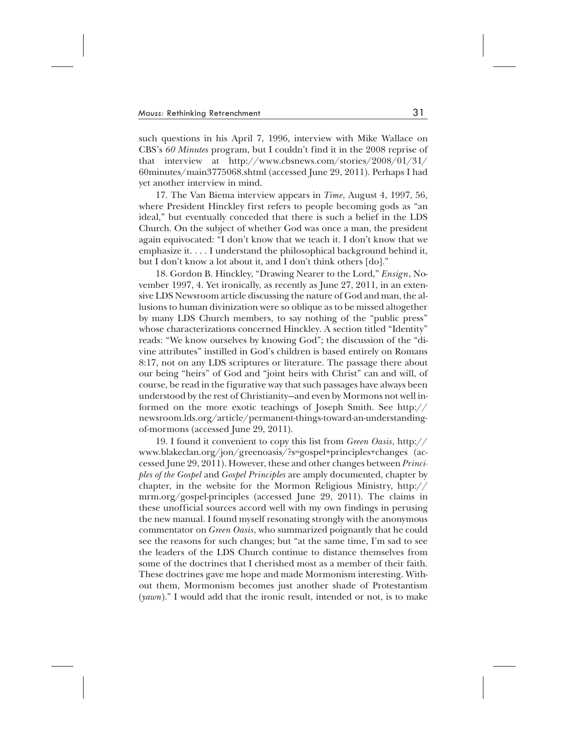such questions in his April 7, 1996, interview with Mike Wallace on CBS's *60 Minutes* program, but I couldn't find it in the 2008 reprise of that interview at http://www.cbsnews.com/stories/2008/01/31/ 60minutes/main3775068.shtml (accessed June 29, 2011). Perhaps I had yet another interview in mind.

17. The Van Biema interview appears in *Time*, August 4, 1997, 56, where President Hinckley first refers to people becoming gods as "an ideal," but eventually conceded that there is such a belief in the LDS Church. On the subject of whether God was once a man, the president again equivocated: "I don't know that we teach it. I don't know that we emphasize it. ...I understand the philosophical background behind it, but I don't know a lot about it, and I don't think others [do]."

18. Gordon B. Hinckley, "Drawing Nearer to the Lord," *Ensign*, November 1997, 4. Yet ironically, as recently as June 27, 2011, in an extensive LDS Newsroom article discussing the nature of God and man, the allusions to human divinization were so oblique as to be missed altogether by many LDS Church members, to say nothing of the "public press" whose characterizations concerned Hinckley. A section titled "Identity" reads: "We know ourselves by knowing God"; the discussion of the "divine attributes" instilled in God's children is based entirely on Romans 8:17, not on any LDS scriptures or literature. The passage there about our being "heirs" of God and "joint heirs with Christ" can and will, of course, be read in the figurative way that such passages have always been understood by the rest of Christianity—and even by Mormons not well informed on the more exotic teachings of Joseph Smith. See http:// newsroom.lds.org/article/permanent-things-toward-an-understandingof-mormons (accessed June 29, 2011).

19. I found it convenient to copy this list from *Green Oasis*, http:// www.blakeclan.org/jon/greenoasis/?s=gospel+principles+changes (accessed June 29, 2011). However, these and other changes between *Principles of the Gospel* and *Gospel Principles* are amply documented, chapter by chapter, in the website for the Mormon Religious Ministry, http:// mrm.org/gospel-principles (accessed June 29, 2011). The claims in these unofficial sources accord well with my own findings in perusing the new manual. I found myself resonating strongly with the anonymous commentator on *Green Oasis*, who summarized poignantly that he could see the reasons for such changes; but "at the same time, I'm sad to see the leaders of the LDS Church continue to distance themselves from some of the doctrines that I cherished most as a member of their faith. These doctrines gave me hope and made Mormonism interesting. Without them, Mormonism becomes just another shade of Protestantism (*yawn*)." I would add that the ironic result, intended or not, is to make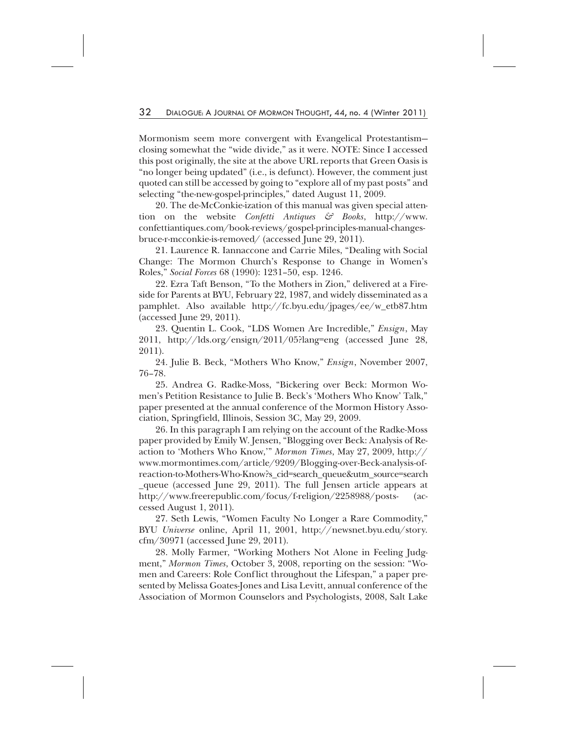Mormonism seem more convergent with Evangelical Protestantism closing somewhat the "wide divide," as it were. NOTE: Since I accessed this post originally, the site at the above URL reports that Green Oasis is "no longer being updated" (i.e., is defunct). However, the comment just quoted can still be accessed by going to "explore all of my past posts" and selecting "the-new-gospel-principles," dated August 11, 2009.

20. The de-McConkie-ization of this manual was given special attention on the website *Confetti Antiques & Books*, http://www. confettiantiques.com/book-reviews/gospel-principles-manual-changesbruce-r-mcconkie-is-removed/ (accessed June 29, 2011).

21. Laurence R. Iannaccone and Carrie Miles, "Dealing with Social Change: The Mormon Church's Response to Change in Women's Roles," *Social Forces* 68 (1990): 1231–50, esp. 1246.

22. Ezra Taft Benson, "To the Mothers in Zion," delivered at a Fireside for Parents at BYU, February 22, 1987, and widely disseminated as a pamphlet. Also available http://fc.byu.edu/jpages/ee/w\_etb87.htm (accessed June 29, 2011).

23. Quentin L. Cook, "LDS Women Are Incredible," *Ensign*, May 2011, http://lds.org/ensign/2011/05?lang=eng (accessed June 28, 2011).

24. Julie B. Beck, "Mothers Who Know," *Ensign*, November 2007, 76–78.

25. Andrea G. Radke-Moss, "Bickering over Beck: Mormon Women's Petition Resistance to Julie B. Beck's 'Mothers Who Know' Talk," paper presented at the annual conference of the Mormon History Association, Springfield, Illinois, Session 3C, May 29, 2009.

26. In this paragraph I am relying on the account of the Radke-Moss paper provided by Emily W. Jensen, "Blogging over Beck: Analysis of Reaction to 'Mothers Who Know,'" *Mormon Times*, May 27, 2009, http:// www.mormontimes.com/article/9209/Blogging-over-Beck-analysis-ofreaction-to-Mothers-Who-Know?s\_cid=search\_queue&utm\_source=search \_queue (accessed June 29, 2011). The full Jensen article appears at http://www.freerepublic.com/focus/f-religion/2258988/posts- (accessed August 1, 2011).

27. Seth Lewis, "Women Faculty No Longer a Rare Commodity," BYU *Universe* online, April 11, 2001, http://newsnet.byu.edu/story. cfm/30971 (accessed June 29, 2011).

28. Molly Farmer, "Working Mothers Not Alone in Feeling Judgment," *Mormon Times*, October 3, 2008, reporting on the session: "Women and Careers: Role Conflict throughout the Lifespan," a paper presented by Melissa Goates-Jones and Lisa Levitt, annual conference of the Association of Mormon Counselors and Psychologists, 2008, Salt Lake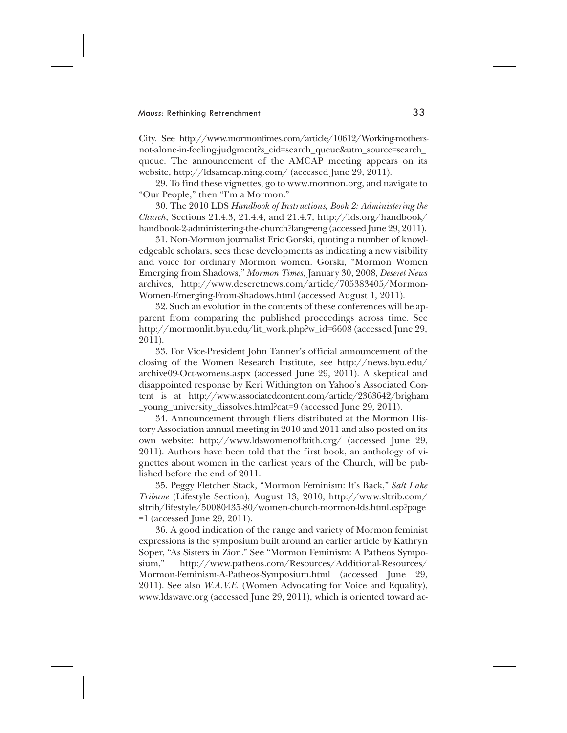City. See http://www.mormontimes.com/article/10612/Working-mothersnot-alone-in-feeling-judgment?s\_cid=search\_queue&utm\_source=search\_ queue. The announcement of the AMCAP meeting appears on its website, http://ldsamcap.ning.com/ (accessed June 29, 2011).

29. To find these vignettes, go to www.mormon.org, and navigate to "Our People," then "I'm a Mormon."

30. The 2010 LDS *Handbook of Instructions, Book 2: Administering the Church*, Sections 21.4.3, 21.4.4, and 21.4.7, http://lds.org/handbook/ handbook-2-administering-the-church?lang=eng (accessed June 29, 2011).

31. Non-Mormon journalist Eric Gorski, quoting a number of knowledgeable scholars, sees these developments as indicating a new visibility and voice for ordinary Mormon women. Gorski, "Mormon Women Emerging from Shadows," *Mormon Times*, January 30, 2008, *Deseret News* archives, http://www.deseretnews.com/article/705383405/Mormon-Women-Emerging-From-Shadows.html (accessed August 1, 2011).

32. Such an evolution in the contents of these conferences will be apparent from comparing the published proceedings across time. See http://mormonlit.byu.edu/lit\_work.php?w\_id=6608 (accessed June 29, 2011).

33. For Vice-President John Tanner's official announcement of the closing of the Women Research Institute, see http://news.byu.edu/ archive09-Oct-womens.aspx (accessed June 29, 2011). A skeptical and disappointed response by Keri Withington on Yahoo's Associated Content is at http://www.associatedcontent.com/article/2363642/brigham \_young\_university\_dissolves.html?cat=9 (accessed June 29, 2011).

34. Announcement through fliers distributed at the Mormon History Association annual meeting in 2010 and 2011 and also posted on its own website: http://www.ldswomenoffaith.org/ (accessed June 29, 2011). Authors have been told that the first book, an anthology of vignettes about women in the earliest years of the Church, will be published before the end of 2011.

35. Peggy Fletcher Stack, "Mormon Feminism: It's Back," *Salt Lake Tribune* (Lifestyle Section), August 13, 2010, http://www.sltrib.com/ sltrib/lifestyle/50080435-80/women-church-mormon-lds.html.csp?page =1 (accessed June 29, 2011).

36. A good indication of the range and variety of Mormon feminist expressions is the symposium built around an earlier article by Kathryn Soper, "As Sisters in Zion." See "Mormon Feminism: A Patheos Symposium," http://www.patheos.com/Resources/Additional-Resources/ Mormon-Feminism-A-Patheos-Symposium.html (accessed June 29, 2011). See also *W.A.V.E.* (Women Advocating for Voice and Equality), www.ldswave.org (accessed June 29, 2011), which is oriented toward ac-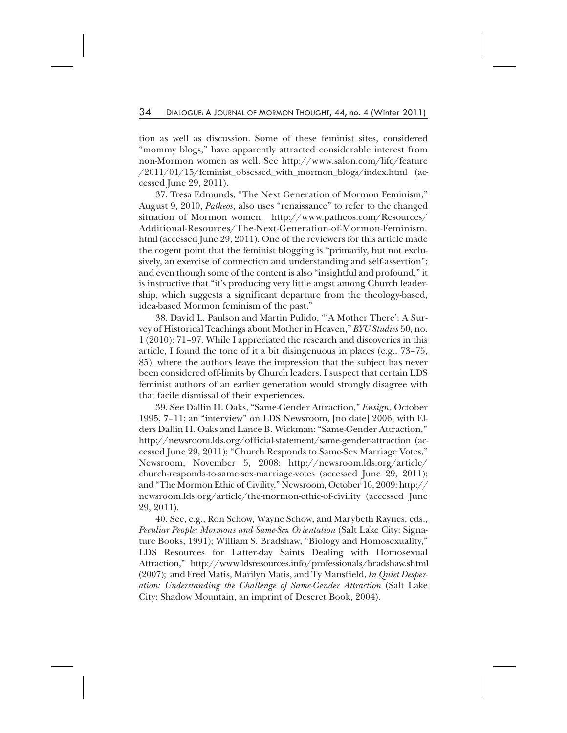tion as well as discussion. Some of these feminist sites, considered "mommy blogs," have apparently attracted considerable interest from non-Mormon women as well. See http://www.salon.com/life/feature /2011/01/15/feminist\_obsessed\_with\_mormon\_blogs/index.html (accessed June 29, 2011).

37. Tresa Edmunds, "The Next Generation of Mormon Feminism," August 9, 2010, *Patheos*, also uses "renaissance" to refer to the changed situation of Mormon women. http://www.patheos.com/Resources/ Additional-Resources/The-Next-Generation-of-Mormon-Feminism. html (accessed June 29, 2011). One of the reviewers for this article made the cogent point that the feminist blogging is "primarily, but not exclusively, an exercise of connection and understanding and self-assertion"; and even though some of the content is also "insightful and profound," it is instructive that "it's producing very little angst among Church leadership, which suggests a significant departure from the theology-based, idea-based Mormon feminism of the past."

38. David L. Paulson and Martin Pulido, "'A Mother There': A Survey of Historical Teachings about Mother in Heaven," *BYU Studies* 50, no. 1 (2010): 71–97. While I appreciated the research and discoveries in this article, I found the tone of it a bit disingenuous in places (e.g., 73–75, 85), where the authors leave the impression that the subject has never been considered off-limits by Church leaders. I suspect that certain LDS feminist authors of an earlier generation would strongly disagree with that facile dismissal of their experiences.

39. See Dallin H. Oaks, "Same-Gender Attraction," *Ensign*, October 1995, 7–11; an "interview" on LDS Newsroom, [no date] 2006, with Elders Dallin H. Oaks and Lance B. Wickman: "Same-Gender Attraction," http://newsroom.lds.org/official-statement/same-gender-attraction (accessed June 29, 2011); "Church Responds to Same-Sex Marriage Votes," Newsroom, November 5, 2008: http://newsroom.lds.org/article/ church-responds-to-same-sex-marriage-votes (accessed June 29, 2011); and "The Mormon Ethic of Civility," Newsroom, October 16, 2009: http:// newsroom.lds.org/article/the-mormon-ethic-of-civility (accessed June 29, 2011).

40. See, e.g., Ron Schow, Wayne Schow, and Marybeth Raynes, eds., *Peculiar People: Mormons and Same-Sex Orientation* (Salt Lake City: Signature Books, 1991); William S. Bradshaw, "Biology and Homosexuality," LDS Resources for Latter-day Saints Dealing with Homosexual Attraction," http://www.ldsresources.info/professionals/bradshaw.shtml (2007); and Fred Matis, Marilyn Matis, and Ty Mansfield, *In Quiet Desperation: Understanding the Challenge of Same-Gender Attraction* (Salt Lake City: Shadow Mountain, an imprint of Deseret Book, 2004).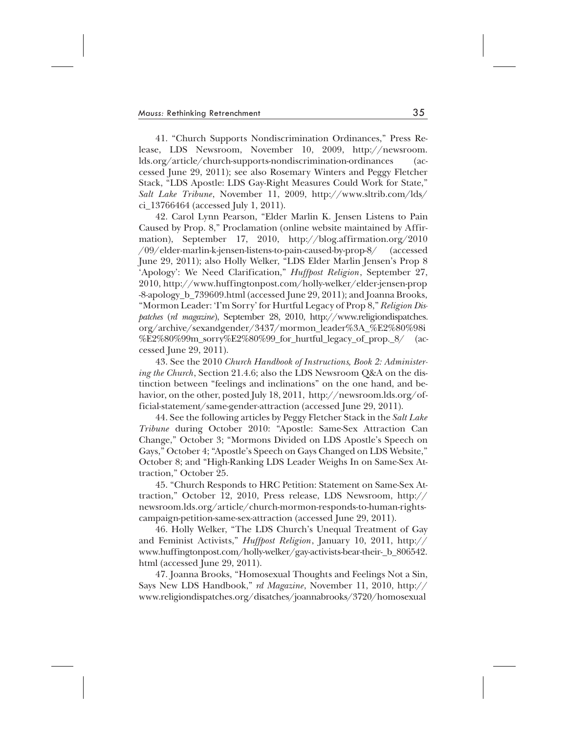41. "Church Supports Nondiscrimination Ordinances," Press Release, LDS Newsroom, November 10, 2009, http://newsroom. lds.org/article/church-supports-nondiscrimination-ordinances (accessed June 29, 2011); see also Rosemary Winters and Peggy Fletcher Stack, "LDS Apostle: LDS Gay-Right Measures Could Work for State," *Salt Lake Tribune*, November 11, 2009, http://www.sltrib.com/lds/ ci\_13766464 (accessed July 1, 2011).

42. Carol Lynn Pearson, "Elder Marlin K. Jensen Listens to Pain Caused by Prop. 8," Proclamation (online website maintained by Affirmation), September 17, 2010, http://blog.affirmation.org/2010 /09/elder-marlin-k-jensen-listens-to-pain-caused-by-prop-8/ (accessed June 29, 2011); also Holly Welker, "LDS Elder Marlin Jensen's Prop 8 'Apology': We Need Clarification," *Huffpost Religion*, September 27, 2010, http://www.huffingtonpost.com/holly-welker/elder-jensen-prop -8-apology\_b\_739609.html (accessed June 29, 2011); and Joanna Brooks, "Mormon Leader: 'I'm Sorry' for Hurtful Legacy of Prop 8," *Religion Dispatches* (*rd magazine*), September 28, 2010, http://www.religiondispatches. org/archive/sexandgender/3437/mormon\_leader%3A\_%E2%80%98i %E2%80%99m\_sorry%E2%80%99\_for\_hurtful\_legacy\_of\_prop.\_8/ (accessed June 29, 2011).

43. See the 2010 *Church Handbook of Instructions, Book 2: Administering the Church*, Section 21.4.6; also the LDS Newsroom Q&A on the distinction between "feelings and inclinations" on the one hand, and behavior, on the other, posted July 18, 2011, http://newsroom.lds.org/official-statement/same-gender-attraction (accessed June 29, 2011).

44. See the following articles by Peggy Fletcher Stack in the *Salt Lake Tribune* during October 2010: "Apostle: Same-Sex Attraction Can Change," October 3; "Mormons Divided on LDS Apostle's Speech on Gays," October 4; "Apostle's Speech on Gays Changed on LDS Website," October 8; and "High-Ranking LDS Leader Weighs In on Same-Sex Attraction," October 25.

45. "Church Responds to HRC Petition: Statement on Same-Sex Attraction," October 12, 2010, Press release, LDS Newsroom, http:// newsroom.lds.org/article/church-mormon-responds-to-human-rightscampaign-petition-same-sex-attraction (accessed June 29, 2011).

46. Holly Welker, "The LDS Church's Unequal Treatment of Gay and Feminist Activists," *Huffpost Religion*, January 10, 2011, http:// www.huffingtonpost.com/holly-welker/gay-activists-bear-their-\_b\_806542. html (accessed June 29, 2011).

47. Joanna Brooks, "Homosexual Thoughts and Feelings Not a Sin, Says New LDS Handbook," *rd Magazine*, November 11, 2010, http:// www.religiondispatches.org/disatches/joannabrooks/3720/homosexual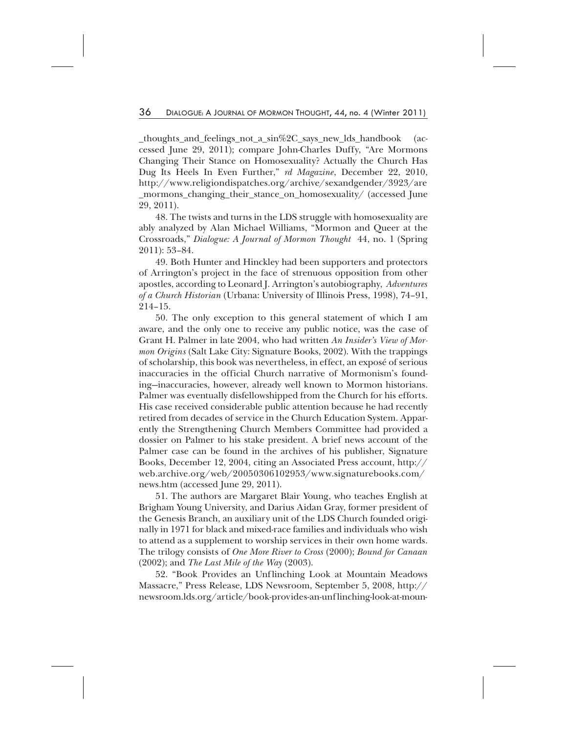\_thoughts\_and\_feelings\_not\_a\_sin%2C\_says\_new\_lds\_handbook (accessed June 29, 2011); compare John-Charles Duffy, "Are Mormons Changing Their Stance on Homosexuality? Actually the Church Has Dug Its Heels In Even Further," *rd Magazine*, December 22, 2010, http://www.religiondispatches.org/archive/sexandgender/3923/are \_mormons\_changing\_their\_stance\_on\_homosexuality/ (accessed June 29, 2011).

48. The twists and turns in the LDS struggle with homosexuality are ably analyzed by Alan Michael Williams, "Mormon and Queer at the Crossroads," *Dialogue: A Journal of Mormon Thought* 44, no. 1 (Spring 2011): 53–84.

49. Both Hunter and Hinckley had been supporters and protectors of Arrington's project in the face of strenuous opposition from other apostles, according to Leonard J. Arrington's autobiography, *Adventures of a Church Historian* (Urbana: University of Illinois Press, 1998), 74–91, 214–15.

50. The only exception to this general statement of which I am aware, and the only one to receive any public notice, was the case of Grant H. Palmer in late 2004, who had written *An Insider's View of Mormon Origins* (Salt Lake City: Signature Books, 2002). With the trappings of scholarship, this book was nevertheless, in effect, an exposé of serious inaccuracies in the official Church narrative of Mormonism's founding—inaccuracies, however, already well known to Mormon historians. Palmer was eventually disfellowshipped from the Church for his efforts. His case received considerable public attention because he had recently retired from decades of service in the Church Education System. Apparently the Strengthening Church Members Committee had provided a dossier on Palmer to his stake president. A brief news account of the Palmer case can be found in the archives of his publisher, Signature Books, December 12, 2004, citing an Associated Press account, http:// web.archive.org/web/20050306102953/www.signaturebooks.com/ news.htm (accessed June 29, 2011).

51. The authors are Margaret Blair Young, who teaches English at Brigham Young University, and Darius Aidan Gray, former president of the Genesis Branch, an auxiliary unit of the LDS Church founded originally in 1971 for black and mixed-race families and individuals who wish to attend as a supplement to worship services in their own home wards. The trilogy consists of *One More River to Cross* (2000); *Bound for Canaan* (2002); and *The Last Mile of the Way* (2003).

52. "Book Provides an Unflinching Look at Mountain Meadows Massacre," Press Release, LDS Newsroom, September 5, 2008, http:// newsroom.lds.org/article/book-provides-an-unflinching-look-at-moun-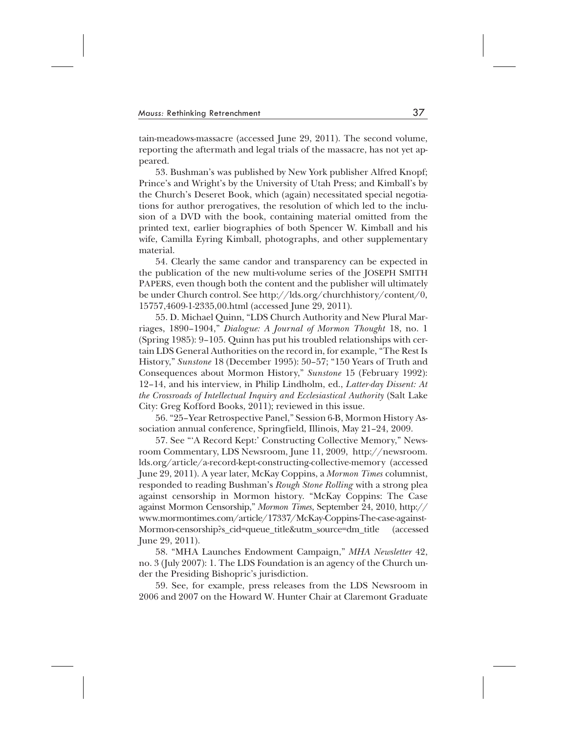tain-meadows-massacre (accessed June 29, 2011). The second volume, reporting the aftermath and legal trials of the massacre, has not yet appeared.

53. Bushman's was published by New York publisher Alfred Knopf; Prince's and Wright's by the University of Utah Press; and Kimball's by the Church's Deseret Book, which (again) necessitated special negotiations for author prerogatives, the resolution of which led to the inclusion of a DVD with the book, containing material omitted from the printed text, earlier biographies of both Spencer W. Kimball and his wife, Camilla Eyring Kimball, photographs, and other supplementary material.

54. Clearly the same candor and transparency can be expected in the publication of the new multi-volume series of the JOSEPH SMITH PAPERS, even though both the content and the publisher will ultimately be under Church control. See http://lds.org/churchhistory/content/0, 15757,4609-1-2335,00.html (accessed June 29, 2011).

55. D. Michael Quinn, "LDS Church Authority and New Plural Marriages, 1890–1904," *Dialogue: A Journal of Mormon Thought* 18, no. 1 (Spring 1985): 9–105. Quinn has put his troubled relationships with certain LDS General Authorities on the record in, for example, "The Rest Is History," *Sunstone* 18 (December 1995): 50–57; "150 Years of Truth and Consequences about Mormon History," *Sunstone* 15 (February 1992): 12–14, and his interview, in Philip Lindholm, ed., *Latter-day Dissent: At the Crossroads of Intellectual Inquiry and Ecclesiastical Authority* (Salt Lake City: Greg Kofford Books, 2011); reviewed in this issue.

56. "25–Year Retrospective Panel," Session 6-B, Mormon History Association annual conference, Springfield, Illinois, May 21–24, 2009.

57. See "'A Record Kept:' Constructing Collective Memory," Newsroom Commentary, LDS Newsroom, June 11, 2009, http://newsroom. lds.org/article/a-record-kept-constructing-collective-memory (accessed June 29, 2011). A year later, McKay Coppins, a *Mormon Times* columnist, responded to reading Bushman's *Rough Stone Rolling* with a strong plea against censorship in Mormon history. "McKay Coppins: The Case against Mormon Censorship," *Mormon Times*, September 24, 2010, http:// www.mormontimes.com/article/17337/McKay-Coppins-The-case-against-Mormon-censorship?s\_cid=queue\_title&utm\_source=dm\_title (accessed June 29, 2011).

58. "MHA Launches Endowment Campaign," *MHA Newsletter* 42, no. 3 (July 2007): 1. The LDS Foundation is an agency of the Church under the Presiding Bishopric's jurisdiction.

59. See, for example, press releases from the LDS Newsroom in 2006 and 2007 on the Howard W. Hunter Chair at Claremont Graduate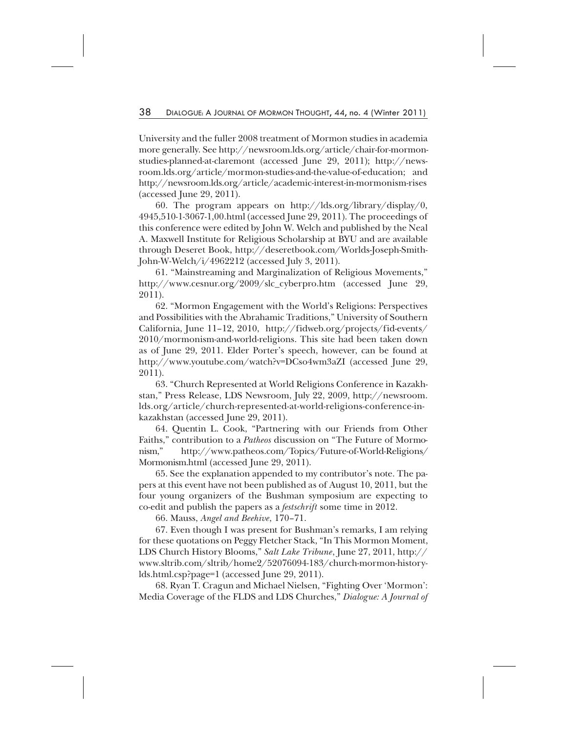University and the fuller 2008 treatment of Mormon studies in academia more generally. See http://newsroom.lds.org/article/chair-for-mormonstudies-planned-at-claremont (accessed June 29, 2011); http://newsroom.lds.org/article/mormon-studies-and-the-value-of-education; and http://newsroom.lds.org/article/academic-interest-in-mormonism-rises (accessed June 29, 2011).

60. The program appears on http://lds.org/library/display/0, 4945,510-1-3067-1,00.html (accessed June 29, 2011). The proceedings of this conference were edited by John W. Welch and published by the Neal A. Maxwell Institute for Religious Scholarship at BYU and are available through Deseret Book, http://deseretbook.com/Worlds-Joseph-Smith-John-W-Welch/i/4962212 (accessed July 3, 2011).

61. "Mainstreaming and Marginalization of Religious Movements," http://www.cesnur.org/2009/slc\_cyberpro.htm (accessed June 29, 2011).

62. "Mormon Engagement with the World's Religions: Perspectives and Possibilities with the Abrahamic Traditions," University of Southern California, June 11–12, 2010, http://fidweb.org/projects/fid-events/ 2010/mormonism-and-world-religions. This site had been taken down as of June 29, 2011. Elder Porter's speech, however, can be found at http://www.youtube.com/watch?v=DCso4wm3aZI (accessed June 29, 2011).

63. "Church Represented at World Religions Conference in Kazakhstan," Press Release, LDS Newsroom, July 22, 2009, http://newsroom. lds.org/article/church-represented-at-world-religions-conference-inkazakhstan (accessed June 29, 2011).

64. Quentin L. Cook, "Partnering with our Friends from Other Faiths," contribution to a *Patheos* discussion on "The Future of Mormonism," http://www.patheos.com/Topics/Future-of-World-Religions/ Mormonism.html (accessed June 29, 2011).

65. See the explanation appended to my contributor's note. The papers at this event have not been published as of August 10, 2011, but the four young organizers of the Bushman symposium are expecting to co-edit and publish the papers as a *festschrift* some time in 2012.

66. Mauss, *Angel and Beehive*, 170–71.

67. Even though I was present for Bushman's remarks, I am relying for these quotations on Peggy Fletcher Stack, "In This Mormon Moment, LDS Church History Blooms," *Salt Lake Tribune*, June 27, 2011, http:// www.sltrib.com/sltrib/home2/52076094-183/church-mormon-historylds.html.csp?page=1 (accessed June 29, 2011).

68. Ryan T. Cragun and Michael Nielsen, "Fighting Over 'Mormon': Media Coverage of the FLDS and LDS Churches," *Dialogue: A Journal of*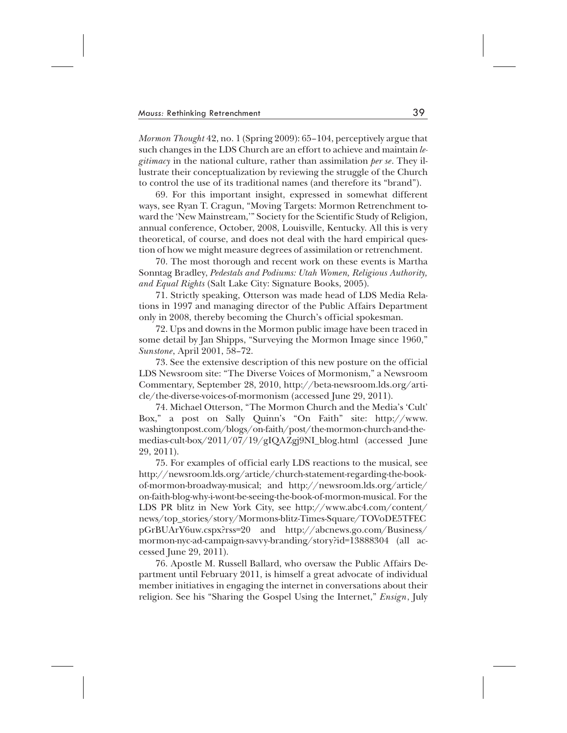*Mormon Thought* 42, no. 1 (Spring 2009): 65–104, perceptively argue that such changes in the LDS Church are an effort to achieve and maintain *legitimacy* in the national culture, rather than assimilation *per se*. They illustrate their conceptualization by reviewing the struggle of the Church to control the use of its traditional names (and therefore its "brand").

69. For this important insight, expressed in somewhat different ways, see Ryan T. Cragun, "Moving Targets: Mormon Retrenchment toward the 'New Mainstream,'" Society for the Scientific Study of Religion, annual conference, October, 2008, Louisville, Kentucky. All this is very theoretical, of course, and does not deal with the hard empirical question of how we might measure degrees of assimilation or retrenchment.

70. The most thorough and recent work on these events is Martha Sonntag Bradley, *Pedestals and Podiums: Utah Women, Religious Authority, and Equal Rights* (Salt Lake City: Signature Books, 2005).

71. Strictly speaking, Otterson was made head of LDS Media Relations in 1997 and managing director of the Public Affairs Department only in 2008, thereby becoming the Church's official spokesman.

72. Ups and downs in the Mormon public image have been traced in some detail by Jan Shipps, "Surveying the Mormon Image since 1960," *Sunstone*, April 2001, 58–72.

73. See the extensive description of this new posture on the official LDS Newsroom site: "The Diverse Voices of Mormonism," a Newsroom Commentary, September 28, 2010, http://beta-newsroom.lds.org/article/the-diverse-voices-of-mormonism (accessed June 29, 2011).

74. Michael Otterson, "The Mormon Church and the Media's 'Cult' Box," a post on Sally Quinn's "On Faith" site: http://www. washingtonpost.com/blogs/on-faith/post/the-mormon-church-and-themedias-cult-box/2011/07/19/gIQAZgj9NI\_blog.html (accessed June 29, 2011).

75. For examples of official early LDS reactions to the musical, see http://newsroom.lds.org/article/church-statement-regarding-the-bookof-mormon-broadway-musical; and http://newsroom.lds.org/article/ on-faith-blog-why-i-wont-be-seeing-the-book-of-mormon-musical. For the LDS PR blitz in New York City, see http://www.abc4.com/content/ news/top\_stories/story/Mormons-blitz-Times-Square/TOVoDE5TFEC pGrBUArY6uw.cspx?rss=20 and http://abcnews.go.com/Business/ mormon-nyc-ad-campaign-savvy-branding/story?id=13888304 (all accessed June 29, 2011).

76. Apostle M. Russell Ballard, who oversaw the Public Affairs Department until February 2011, is himself a great advocate of individual member initiatives in engaging the internet in conversations about their religion. See his "Sharing the Gospel Using the Internet," *Ensign*, July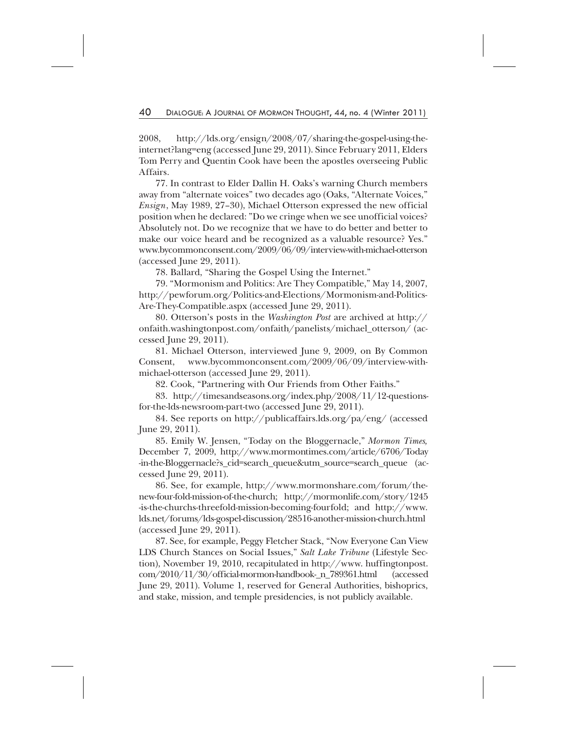2008, http://lds.org/ensign/2008/07/sharing-the-gospel-using-theinternet?lang=eng (accessed June 29, 2011). Since February 2011, Elders Tom Perry and Quentin Cook have been the apostles overseeing Public Affairs.

77. In contrast to Elder Dallin H. Oaks's warning Church members away from "alternate voices" two decades ago (Oaks, "Alternate Voices," *Ensign*, May 1989, 27–30), Michael Otterson expressed the new official position when he declared: "Do we cringe when we see unofficial voices? Absolutely not. Do we recognize that we have to do better and better to make our voice heard and be recognized as a valuable resource? Yes." www.bycommonconsent.com/2009/06/09/interview-with-michael-otterson (accessed June 29, 2011).

78. Ballard, "Sharing the Gospel Using the Internet."

79. "Mormonism and Politics: Are They Compatible," May 14, 2007, http://pewforum.org/Politics-and-Elections/Mormonism-and-Politics-Are-They-Compatible.aspx (accessed June 29, 2011).

80. Otterson's posts in the *Washington Post* are archived at http:// onfaith.washingtonpost.com/onfaith/panelists/michael\_otterson/ (accessed June 29, 2011).

81. Michael Otterson, interviewed June 9, 2009, on By Common Consent, www.bycommonconsent.com/2009/06/09/interview-withmichael-otterson (accessed June 29, 2011).

82. Cook, "Partnering with Our Friends from Other Faiths."

83. http://timesandseasons.org/index.php/2008/11/12-questionsfor-the-lds-newsroom-part-two (accessed June 29, 2011).

84. See reports on http://publicaffairs.lds.org/pa/eng/ (accessed June 29, 2011).

85. Emily W. Jensen, "Today on the Bloggernacle," *Mormon Times,* December 7, 2009, http://www.mormontimes.com/article/6706/Today -in-the-Bloggernacle?s\_cid=search\_queue&utm\_source=search\_queue (accessed June 29, 2011).

86. See, for example, http://www.mormonshare.com/forum/thenew-four-fold-mission-of-the-church; http://mormonlife.com/story/1245 -is-the-churchs-threefold-mission-becoming-fourfold; and http://www. lds.net/forums/lds-gospel-discussion/28516-another-mission-church.html (accessed June 29, 2011).

87. See, for example, Peggy Fletcher Stack, "Now Everyone Can View LDS Church Stances on Social Issues," *Salt Lake Tribune* (Lifestyle Section), November 19, 2010, recapitulated in http://www. huffingtonpost. com/2010/11/30/official-mormon-handbook-\_n\_789361.html (accessed June 29, 2011). Volume 1, reserved for General Authorities, bishoprics, and stake, mission, and temple presidencies, is not publicly available.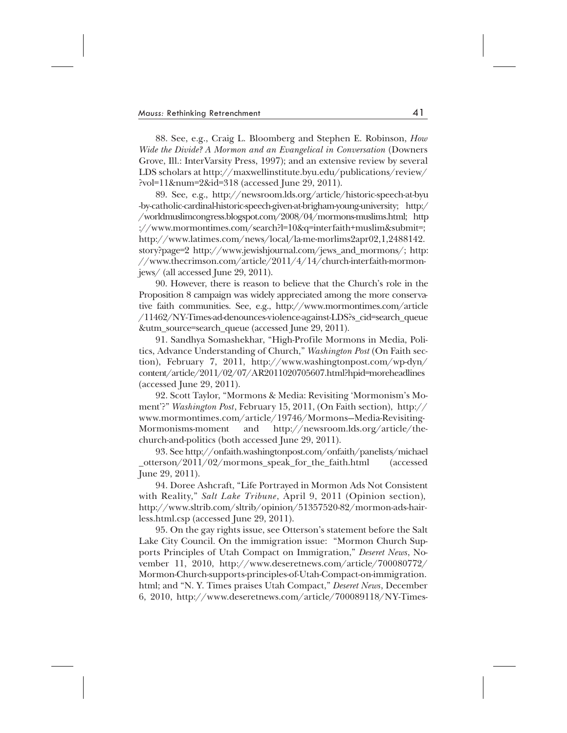88. See, e.g., Craig L. Bloomberg and Stephen E. Robinson, *How Wide the Divide? A Mormon and an Evangelical in Conversation* (Downers Grove, Ill.: InterVarsity Press, 1997); and an extensive review by several LDS scholars at http://maxwellinstitute.byu.edu/publications/review/ ?vol=11&num=2&id=318 (accessed June 29, 2011).

89. See, e.g., http://newsroom.lds.org/article/historic-speech-at-byu -by-catholic-cardinal-historic-speech-given-at-brigham-young-university; http:/ /worldmuslimcongress.blogspot.com/2008/04/mormons-muslims.html; http ://www.mormontimes.com/search?l=10&q=interfaith+muslim&submit=; http://www.latimes.com/news/local/la-me-morlims2apr02,1,2488142. story?page=2 http://www.jewishjournal.com/jews\_and\_mormons/; http: //www.thecrimson.com/article/2011/4/14/church-interfaith-mormonjews/ (all accessed June 29, 2011).

90. However, there is reason to believe that the Church's role in the Proposition 8 campaign was widely appreciated among the more conservative faith communities. See, e.g., http://www.mormontimes.com/article /11462/NY-Times-ad-denounces-violence-against-LDS?s\_cid=search\_queue &utm\_source=search\_queue (accessed June 29, 2011).

91. Sandhya Somashekhar, "High-Profile Mormons in Media, Politics, Advance Understanding of Church," *Washington Post* (On Faith section), February 7, 2011, http://www.washingtonpost.com/wp-dyn/ content/article/2011/02/07/AR2011020705607.html?hpid=moreheadlines (accessed June 29, 2011).

92. Scott Taylor, "Mormons & Media: Revisiting 'Mormonism's Moment'?" *Washington Post*, February 15, 2011, (On Faith section), http:// www.mormontimes.com/article/19746/Mormons—Media-Revisiting-Mormonisms-moment and http://newsroom.lds.org/article/thechurch-and-politics (both accessed June 29, 2011).

93. See http://onfaith.washingtonpost.com/onfaith/panelists/michael \_otterson/2011/02/mormons\_speak\_for\_the\_faith.html (accessed June 29, 2011).

94. Doree Ashcraft, "Life Portrayed in Mormon Ads Not Consistent with Reality," *Salt Lake Tribune*, April 9, 2011 (Opinion section), http://www.sltrib.com/sltrib/opinion/51357520-82/mormon-ads-hairless.html.csp (accessed June 29, 2011).

95. On the gay rights issue, see Otterson's statement before the Salt Lake City Council. On the immigration issue: "Mormon Church Supports Principles of Utah Compact on Immigration," *Deseret News*, November 11, 2010, http://www.deseretnews.com/article/700080772/ Mormon-Church-supports-principles-of-Utah-Compact-on-immigration. html; and "N. Y. Times praises Utah Compact," *Deseret News*, December 6, 2010, http://www.deseretnews.com/article/700089118/NY-Times-